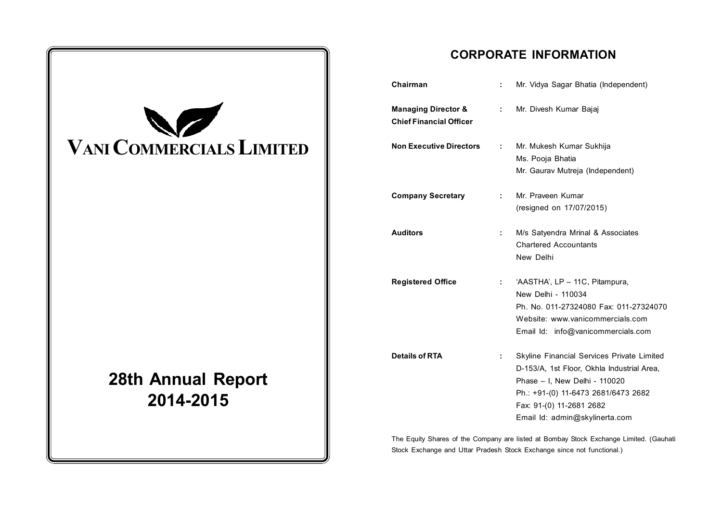

# **CORPORATE INFORMATION**

| Chairman                                                         | ÷  | Mr. Vidya Sagar Bhatia (Independent)                                                                                                                                                                                           |
|------------------------------------------------------------------|----|--------------------------------------------------------------------------------------------------------------------------------------------------------------------------------------------------------------------------------|
| <b>Managing Director &amp;</b><br><b>Chief Financial Officer</b> | t. | Mr. Divesh Kumar Bajaj                                                                                                                                                                                                         |
| <b>Non Executive Directors</b>                                   | ÷  | Mr. Mukesh Kumar Sukhija<br>Ms. Pooja Bhatia<br>Mr. Gaurav Mutreja (Independent)                                                                                                                                               |
| <b>Company Secretary</b>                                         | ÷  | Mr. Praveen Kumar<br>(resigned on 17/07/2015)                                                                                                                                                                                  |
| <b>Auditors</b>                                                  | ÷  | M/s Satyendra Mrinal & Associates<br><b>Chartered Accountants</b><br>New Delhi                                                                                                                                                 |
| <b>Registered Office</b>                                         | ÷. | 'AASTHA', LP - 11C, Pitampura,<br>New Delhi - 110034<br>Ph. No. 011-27324080 Fax: 011-27324070<br>Website: www.vanicommercials.com<br>Email Id: info@vanicommercials.com                                                       |
| <b>Details of RTA</b>                                            | ÷  | Skyline Financial Services Private Limited<br>D-153/A, 1st Floor, Okhla Industrial Area,<br>Phase - I, New Delhi - 110020<br>Ph.: +91-(0) 11-6473 2681/6473 2682<br>Fax: 91-(0) 11-2681 2682<br>Email Id: admin@skylinerta.com |

The Equity Shares of the Company are listed at Bombay Stock Exchange Limited. (Gauhati Stock Exchange and Uttar Pradesh Stock Exchange since not functional.)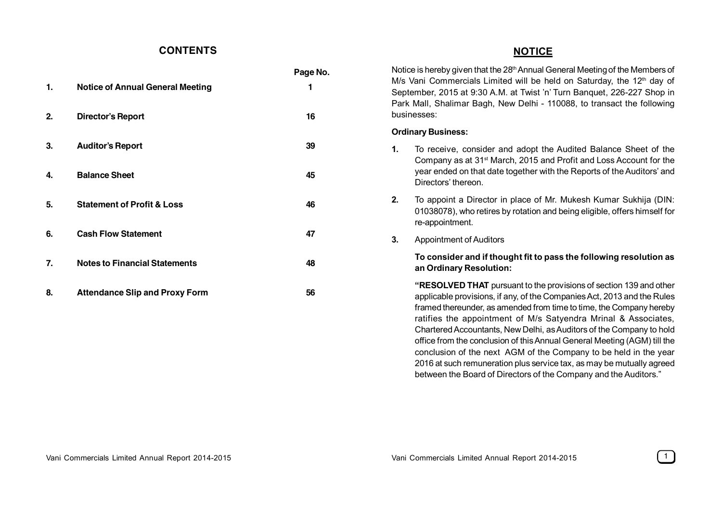# **CONTENTS**

**Page No. 1. Notice of Annual General Meeting 1 2. Director's Report 16 3. Auditor's Report 39 4. Balance Sheet 45 5. Statement of Profit & Loss 46 6. Cash Flow Statement 47 7. Notes to Financial Statements 48 8. Attendance Slip and Proxy Form 56**

# **NOTICE**

Notice is hereby given that the 28<sup>th</sup> Annual General Meeting of the Members of M/s Vani Commercials Limited will be held on Saturday, the 12<sup>th</sup> day of September, 2015 at 9:30 A.M. at Twist 'n' Turn Banquet, 226-227 Shop in Park Mall, Shalimar Bagh, New Delhi - 110088, to transact the following businesses:

# **Ordinary Business:**

- **1.** To receive, consider and adopt the Audited Balance Sheet of the Company as at 31st March, 2015 and Profit and Loss Account for the year ended on that date together with the Reports of the Auditors' and Directors' thereon.
- **2.** To appoint a Director in place of Mr. Mukesh Kumar Sukhija (DIN: 01038078), who retires by rotation and being eligible, offers himself for re-appointment.
- **3.** Appointment of Auditors

# **To consider and if thought fit to pass the following resolution as an Ordinary Resolution:**

**"RESOLVED THAT** pursuant to the provisions of section 139 and other applicable provisions, if any, of the Companies Act, 2013 and the Rules framed thereunder, as amended from time to time, the Company hereby ratifies the appointment of M/s Satyendra Mrinal & Associates, Chartered Accountants, New Delhi, as Auditors of the Company to hold office from the conclusion of this Annual General Meeting (AGM) till the conclusion of the next AGM of the Company to be held in the year 2016 at such remuneration plus service tax, as may be mutually agreed between the Board of Directors of the Company and the Auditors."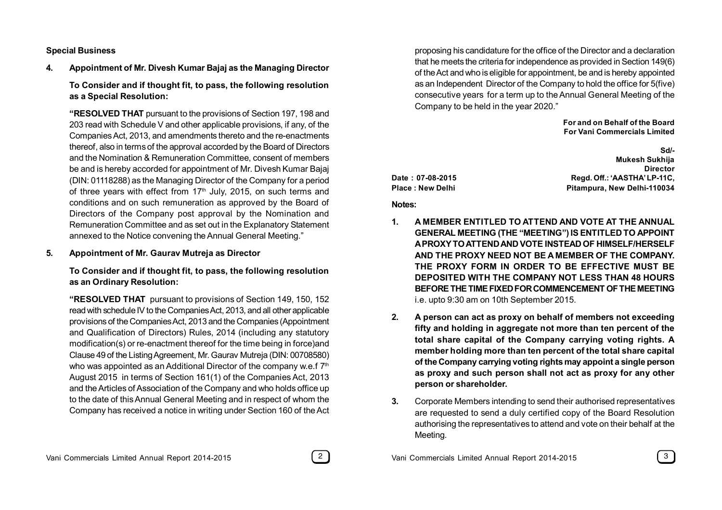**Special Business**

**4. Appointment of Mr. Divesh Kumar Bajaj as the Managing Director**

**To Consider and if thought fit, to pass, the following resolution as a Special Resolution:**

**"RESOLVED THAT** pursuant to the provisions of Section 197, 198 and 203 read with Schedule V and other applicable provisions, if any, of the Companies Act, 2013, and amendments thereto and the re-enactments thereof, also in terms of the approval accorded by the Board of Directors and the Nomination & Remuneration Committee, consent of members be and is hereby accorded for appointment of Mr. Divesh Kumar Bajaj (DIN: 01118288) as the Managing Director of the Company for a period of three years with effect from 17<sup>th</sup> July, 2015, on such terms and conditions and on such remuneration as approved by the Board of Directors of the Company post approval by the Nomination and Remuneration Committee and as set out in the Explanatory Statement annexed to the Notice convening the Annual General Meeting."

**5. Appointment of Mr. Gaurav Mutreja as Director**

**To Consider and if thought fit, to pass, the following resolution as an Ordinary Resolution:**

**"RESOLVED THAT** pursuant to provisions of Section 149, 150, 152 read with schedule IV to the Companies Act, 2013, and all other applicable provisions of the Companies Act, 2013 and the Companies (Appointment and Qualification of Directors) Rules, 2014 (including any statutory modification(s) or re-enactment thereof for the time being in force)and Clause 49 of the Listing Agreement, Mr. Gaurav Mutreja (DIN: 00708580) who was appointed as an Additional Director of the company w.e.f 7<sup>th</sup> August 2015 in terms of Section 161(1) of the Companies Act, 2013 and the Articles of Association of the Company and who holds office up to the date of this Annual General Meeting and in respect of whom the Company has received a notice in writing under Section 160 of the Act

proposing his candidature for the office of the Director and a declaration that he meets the criteria for independence as provided in Section 149(6) of the Act and who is eligible for appointment, be and is hereby appointed as an Independent Director of the Company to hold the office for 5(five) consecutive years for a term up to the Annual General Meeting of the Company to be held in the year 2020."

> **For and on Behalf of the Board For Vani Commercials Limited**

**Sd/- Mukesh Sukhija Director Date : 07-08-2015 Regd. Off.: 'AASTHA' LP-11C, Place : New Delhi Pitampura, New Delhi-110034**

**Notes:**

- **1. A MEMBER ENTITLED TO ATTEND AND VOTE AT THE ANNUAL GENERAL MEETING (THE "MEETING") IS ENTITLED TO APPOINT A PROXY TO ATTEND AND VOTE INSTEAD OF HIMSELF/HERSELF AND THE PROXY NEED NOT BE A MEMBER OF THE COMPANY. THE PROXY FORM IN ORDER TO BE EFFECTIVE MUST BE DEPOSITED WITH THE COMPANY NOT LESS THAN 48 HOURS BEFORE THE TIME FIXED FOR COMMENCEMENT OF THE MEETING** i.e. upto 9:30 am on 10th September 2015.
- **2. A person can act as proxy on behalf of members not exceeding fifty and holding in aggregate not more than ten percent of the total share capital of the Company carrying voting rights. A member holding more than ten percent of the total share capital of the Company carrying voting rights may appoint a single person as proxy and such person shall not act as proxy for any other person or shareholder.**
- **3.** Corporate Members intending to send their authorised representatives are requested to send a duly certified copy of the Board Resolution authorising the representatives to attend and vote on their behalf at the Meeting.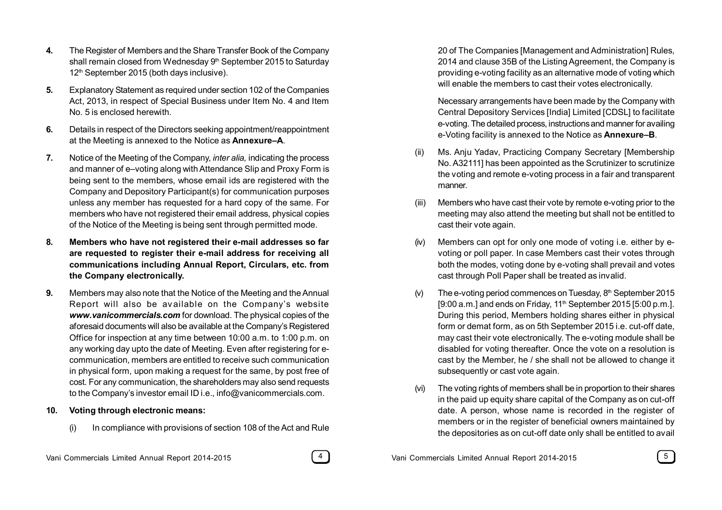- **4.** The Register of Members and the Share Transfer Book of the Company shall remain closed from Wednesday 9<sup>th</sup> September 2015 to Saturday 12<sup>th</sup> September 2015 (both days inclusive).
- **5.** Explanatory Statement as required under section 102 of the Companies Act, 2013, in respect of Special Business under Item No. 4 and Item No. 5 is enclosed herewith.
- **6.** Details in respect of the Directors seeking appointment/reappointment at the Meeting is annexed to the Notice as **Annexure–A**.
- **7.** Notice of the Meeting of the Company, *inter alia,* indicating the process and manner of e–voting along with Attendance Slip and Proxy Form is being sent to the members, whose email ids are registered with the Company and Depository Participant(s) for communication purposes unless any member has requested for a hard copy of the same. For members who have not registered their email address, physical copies of the Notice of the Meeting is being sent through permitted mode.
- **8. Members who have not registered their e-mail addresses so far are requested to register their e-mail address for receiving all communications including Annual Report, Circulars, etc. from the Company electronically.**
- **9.** Members may also note that the Notice of the Meeting and the Annual Report will also be av ailable on the Company's website *www.vanicommercials.com* for download. The physical copies of the aforesaid documents will also be available at the Company's Registered Office for inspection at any time between 10:00 a.m. to 1:00 p.m. on any working day upto the date of Meeting. Even after registering for ecommunication, members are entitled to receive such communication in physical form, upon making a request for the same, by post free of cost. For any communication, the shareholders may also send requests to the Company's investor email ID i.e., info@vanicommercials.com.
- **10. Voting through electronic means:**
	- (i) In compliance with provisions of section 108 of the Act and Rule

20 of The Companies [Management and Administration] Rules, 2014 and clause 35B of the Listing Agreement, the Company is providing e-voting facility as an alternative mode of voting which will enable the members to cast their votes electronically.

Necessary arrangements have been made by the Company with Central Depository Services [India] Limited [CDSL] to facilitate e-voting. The detailed process, instructions and manner for availing e-Voting facility is annexed to the Notice as **Annexure–B**.

- (ii) Ms. Anju Yadav, Practicing Company Secretary [Membership No. A32111] has been appointed as the Scrutinizer to scrutinize the voting and remote e-voting process in a fair and transparent manner.
- (iii) Members who have cast their vote by remote e-voting prior to the meeting may also attend the meeting but shall not be entitled to cast their vote again.
- (iv) Members can opt for only one mode of voting i.e. either by evoting or poll paper. In case Members cast their votes through both the modes, voting done by e-voting shall prevail and votes cast through Poll Paper shall be treated as invalid.
- (v) The e-voting period commences on Tuesday,  $8<sup>th</sup>$  September 2015  $[9:00 a.m.]$  and ends on Friday,  $11<sup>th</sup>$  September 2015 [5:00 p.m.]. During this period, Members holding shares either in physical form or demat form, as on 5th September 2015 i.e. cut-off date, may cast their vote electronically. The e-voting module shall be disabled for voting thereafter. Once the vote on a resolution is cast by the Member, he / she shall not be allowed to change it subsequently or cast vote again.
- (vi) The voting rights of members shall be in proportion to their shares in the paid up equity share capital of the Company as on cut-off date. A person, whose name is recorded in the register of members or in the register of beneficial owners maintained by the depositories as on cut-off date only shall be entitled to avail

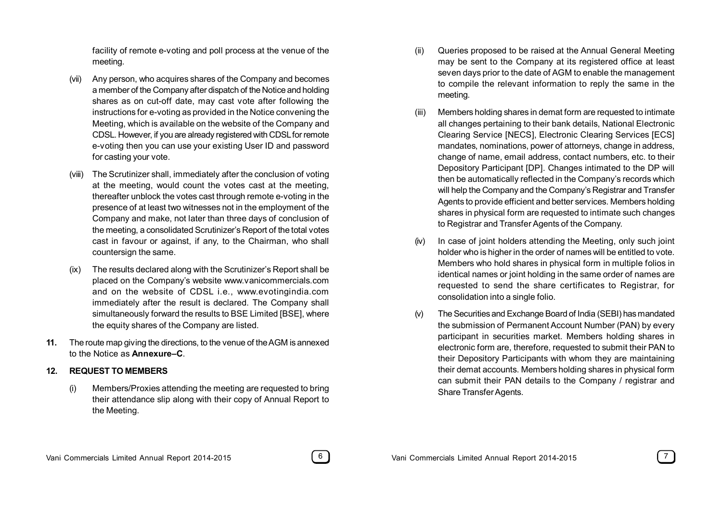facility of remote e-voting and poll process at the venue of the meeting.

- (vii) Any person, who acquires shares of the Company and becomes a member of the Company after dispatch of the Notice and holding shares as on cut-off date, may cast vote after following the instructions for e-voting as provided in the Notice convening the Meeting, which is available on the website of the Company and CDSL. However, if you are already registered with CDSL for remote e-voting then you can use your existing User ID and password for casting your vote.
- (viii) The Scrutinizer shall, immediately after the conclusion of voting at the meeting, would count the votes cast at the meeting, thereafter unblock the votes cast through remote e-voting in the presence of at least two witnesses not in the employment of the Company and make, not later than three days of conclusion of the meeting, a consolidated Scrutinizer's Report of the total votes cast in favour or against, if any, to the Chairman, who shall countersign the same.
- (ix) The results declared along with the Scrutinizer's Report shall be placed on the Company's website www.vanicommercials.com and on the website of CDSL i.e., www.evotingindia.com immediately after the result is declared. The Company shall simultaneously forward the results to BSE Limited [BSE], where the equity shares of the Company are listed.
- **11.** The route map giving the directions, to the venue of the AGM is annexed to the Notice as **Annexure–C**.

# **12. REQUEST TO MEMBERS**

(i) Members/Proxies attending the meeting are requested to bring their attendance slip along with their copy of Annual Report to the Meeting.

- (ii) Queries proposed to be raised at the Annual General Meeting may be sent to the Company at its registered office at least seven days prior to the date of AGM to enable the management to compile the relevant information to reply the same in the meeting.
- (iii) Members holding shares in demat form are requested to intimate all changes pertaining to their bank details, National Electronic Clearing Service [NECS], Electronic Clearing Services [ECS] mandates, nominations, power of attorneys, change in address, change of name, email address, contact numbers, etc. to their Depository Participant [DP]. Changes intimated to the DP will then be automatically reflected in the Company's records which will help the Company and the Company's Registrar and Transfer Agents to provide efficient and better services. Members holding shares in physical form are requested to intimate such changes to Registrar and Transfer Agents of the Company.
- (iv) In case of joint holders attending the Meeting, only such joint holder who is higher in the order of names will be entitled to vote. Members who hold shares in physical form in multiple folios in identical names or joint holding in the same order of names are requested to send the share certificates to Registrar, for consolidation into a single folio.
- (v) The Securities and Exchange Board of India (SEBI) has mandated the submission of Permanent Account Number (PAN) by every participant in securities market. Members holding shares in electronic form are, therefore, requested to submit their PAN to their Depository Participants with whom they are maintaining their demat accounts. Members holding shares in physical form can submit their PAN details to the Company / registrar and Share Transfer Agents.

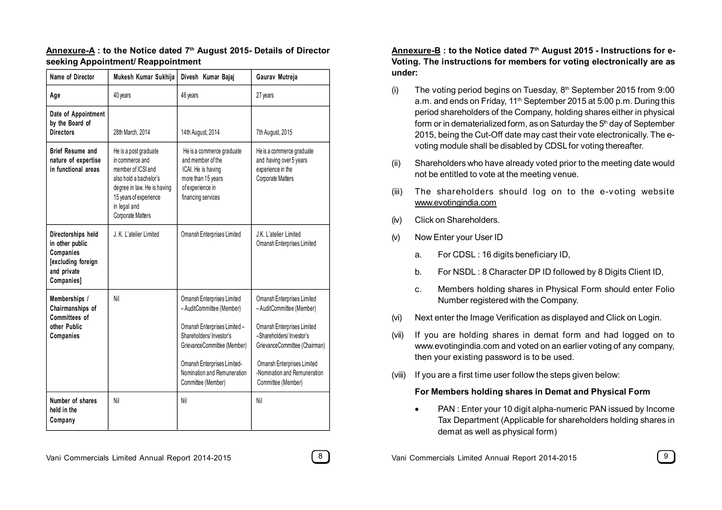| Name of Director                                                                                      | Mukesh Kumar Sukhija                                                                                                                                                                   | Divesh Kumar Bajaj                                                                                                                                                                                                                  | Gaurav Mutreja                                                                                                                                                                                                                        |
|-------------------------------------------------------------------------------------------------------|----------------------------------------------------------------------------------------------------------------------------------------------------------------------------------------|-------------------------------------------------------------------------------------------------------------------------------------------------------------------------------------------------------------------------------------|---------------------------------------------------------------------------------------------------------------------------------------------------------------------------------------------------------------------------------------|
| Age                                                                                                   | 40 years                                                                                                                                                                               | 46 years                                                                                                                                                                                                                            | 27 years                                                                                                                                                                                                                              |
| Date of Appointment<br>by the Board of<br><b>Directors</b>                                            | 28th March, 2014                                                                                                                                                                       | 14th August, 2014                                                                                                                                                                                                                   | 7th August, 2015                                                                                                                                                                                                                      |
| <b>Brief Resume and</b><br>nature of expertise<br>in functional areas                                 | He is a post graduate<br>in commerce and<br>member of ICSI and<br>also hold a bachelor's<br>degree in law. He is having<br>15 years of experience<br>in legal and<br>Corporate Matters | He is a commerce graduate<br>and member of the<br>ICAI. He is having<br>more than 15 years<br>of experience in<br>financing services                                                                                                | He is a commerce graduate<br>and having over 5 years<br>experience in the<br>Corporate Matters                                                                                                                                        |
| Directorships held<br>in other public<br>Companies<br>[excluding foreign<br>and private<br>Companies] | J. K. L'atelier Limited                                                                                                                                                                | Omansh Enterprises Limited                                                                                                                                                                                                          | J.K. L'atelier Limited<br>Omansh Enterprises Limited                                                                                                                                                                                  |
| Memberships /<br>Chairmanships of<br>Committees of<br>other Public<br>Companies                       | Nil                                                                                                                                                                                    | Omansh Enterprises Limited<br>-AuditCommittee (Member)<br>Omansh Enterprises Limited-<br>Shareholders/Investor's<br>GrievanceCommittee (Member)<br>Omansh Enterprises Limited-<br>Nomination and Remuneration<br>Committee (Member) | Omansh Enterprises Limited<br>-AuditCommittee (Member)<br>Omansh Enterprises Limited<br>-Shareholders/Investor's<br>GrievanceCommittee (Chairman)<br>Omansh Enterprises Limited<br>-Nomination and Remuneration<br>Committee (Member) |
| Number of shares<br>held in the<br>Company                                                            | Nil                                                                                                                                                                                    | Nil                                                                                                                                                                                                                                 | Nil                                                                                                                                                                                                                                   |

# **Annexure-A : to the Notice dated 7th August 2015- Details of Director seeking Appointment/ Reappointment**

**Annexure-B : to the Notice dated 7th August 2015 - Instructions for e-Voting. The instructions for members for voting electronically are as under:**

- (i) The voting period begins on Tuesday,  $8<sup>th</sup>$  September 2015 from 9:00 a.m. and ends on Friday, 11<sup>th</sup> September 2015 at 5:00 p.m. During this period shareholders of the Company, holding shares either in physical form or in dematerialized form, as on Saturday the 5<sup>th</sup> day of September 2015, being the Cut-Off date may cast their vote electronically. The evoting module shall be disabled by CDSL for voting thereafter.
- (ii) Shareholders who have already voted prior to the meeting date would not be entitled to vote at the meeting venue.
- (iii) The shareholders should log on to the e-voting website www.evotingindia.com
- (iv) Click on Shareholders.
- (v) Now Enter your User ID
	- a. For CDSL : 16 digits beneficiary ID,
	- b. For NSDL : 8 Character DP ID followed by 8 Digits Client ID,
	- c. Members holding shares in Physical Form should enter Folio Number registered with the Company.
- (vi) Next enter the Image Verification as displayed and Click on Login.
- (vii) If you are holding shares in demat form and had logged on to www.evotingindia.com and voted on an earlier voting of any company, then your existing password is to be used.
- (viii) If you are a first time user follow the steps given below:

# **For Members holding shares in Demat and Physical Form**

PAN : Enter your 10 digit alpha-numeric PAN issued by Income Tax Department (Applicable for shareholders holding shares in demat as well as physical form)

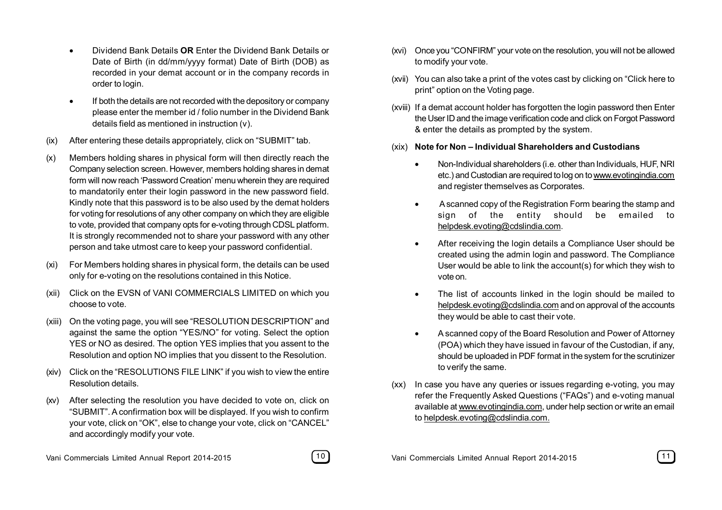- · Dividend Bank Details **OR** Enter the Dividend Bank Details or Date of Birth (in dd/mm/yyyy format) Date of Birth (DOB) as recorded in your demat account or in the company records in order to login.
- · If both the details are not recorded with the depository or company please enter the member id / folio number in the Dividend Bank details field as mentioned in instruction (v).
- (ix) After entering these details appropriately, click on "SUBMIT" tab.
- (x) Members holding shares in physical form will then directly reach the Company selection screen. However, members holding shares in demat form will now reach 'Password Creation' menu wherein they are required to mandatorily enter their login password in the new password field. Kindly note that this password is to be also used by the demat holders for voting for resolutions of any other company on which they are eligible to vote, provided that company opts for e-voting through CDSL platform. It is strongly recommended not to share your password with any other person and take utmost care to keep your password confidential.
- (xi) For Members holding shares in physical form, the details can be used only for e-voting on the resolutions contained in this Notice.
- (xii) Click on the EVSN of VANI COMMERCIALS LIMITED on which you choose to vote.
- (xiii) On the voting page, you will see "RESOLUTION DESCRIPTION" and against the same the option "YES/NO" for voting. Select the option YES or NO as desired. The option YES implies that you assent to the Resolution and option NO implies that you dissent to the Resolution.
- (xiv) Click on the "RESOLUTIONS FILE LINK" if you wish to view the entire Resolution details.
- (xv) After selecting the resolution you have decided to vote on, click on "SUBMIT". A confirmation box will be displayed. If you wish to confirm your vote, click on "OK", else to change your vote, click on "CANCEL" and accordingly modify your vote.
- (xvi) Once you "CONFIRM" your vote on the resolution, you will not be allowed to modify your vote.
- (xvii) You can also take a print of the votes cast by clicking on "Click here to print" option on the Voting page.
- (xviii) If a demat account holder has forgotten the login password then Enter the User ID and the image verification code and click on Forgot Password & enter the details as prompted by the system.
- (xix) **Note for Non Individual Shareholders and Custodians**
	- · Non-Individual shareholders (i.e. other than Individuals, HUF, NRI etc.) and Custodian are required to log on to www.evotingindia.com and register themselves as Corporates.
	- · A scanned copy of the Registration Form bearing the stamp and sign of the entity should be emailed to helpdesk.evoting@cdslindia.com.
	- · After receiving the login details a Compliance User should be created using the admin login and password. The Compliance User would be able to link the account(s) for which they wish to vote on.
	- The list of accounts linked in the login should be mailed to helpdesk.evoting@cdslindia.com and on approval of the accounts they would be able to cast their vote.
	- A scanned copy of the Board Resolution and Power of Attorney (POA) which they have issued in favour of the Custodian, if any, should be uploaded in PDF format in the system for the scrutinizer to verify the same.
- (xx) In case you have any queries or issues regarding e-voting, you may refer the Frequently Asked Questions ("FAQs") and e-voting manual available at www.evotingindia.com, under help section or write an email to helpdesk.evoting@cdslindia.com.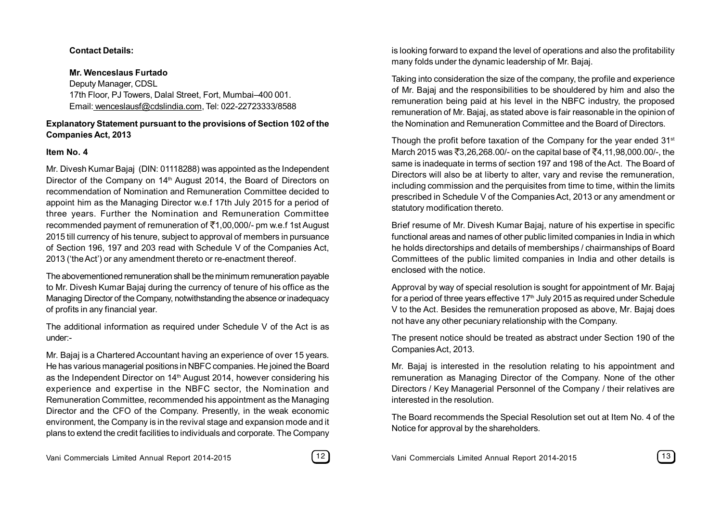# **Contact Details:**

# **Mr. Wenceslaus Furtado**

Deputy Manager, CDSL 17th Floor, PJ Towers, Dalal Street, Fort, Mumbai–400 001. Email: wenceslausf@cdslindia.com, Tel: 022-22723333/8588

# **Explanatory Statement pursuant to the provisions of Section 102 of the Companies Act, 2013**

# **Item No. 4**

Mr. Divesh Kumar Bajaj (DIN: 01118288) was appointed as the Independent Director of the Company on 14<sup>th</sup> August 2014, the Board of Directors on recommendation of Nomination and Remuneration Committee decided to appoint him as the Managing Director w.e.f 17th July 2015 for a period of three years. Further the Nomination and Remuneration Committee recommended payment of remuneration of  $\bar{c}$ 1,00,000/- pm w.e.f 1st August 2015 till currency of his tenure, subject to approval of members in pursuance of Section 196, 197 and 203 read with Schedule V of the Companies Act, 2013 ('the Act') or any amendment thereto or re-enactment thereof.

The abovementioned remuneration shall be the minimum remuneration payable to Mr. Divesh Kumar Bajaj during the currency of tenure of his office as the Managing Director of the Company, notwithstanding the absence or inadequacy of profits in any financial year.

The additional information as required under Schedule V of the Act is as under:-

Mr. Bajaj is a Chartered Accountant having an experience of over 15 years. He has various managerial positions in NBFC companies. He joined the Board as the Independent Director on 14<sup>th</sup> August 2014, however considering his experience and expertise in the NBFC sector, the Nomination and Remuneration Committee, recommended his appointment as the Managing Director and the CFO of the Company. Presently, in the weak economic environment, the Company is in the revival stage and expansion mode and it plans to extend the credit facilities to individuals and corporate. The Company

is looking forward to expand the level of operations and also the profitability many folds under the dynamic leadership of Mr. Bajaj.

Taking into consideration the size of the company, the profile and experience of Mr. Bajaj and the responsibilities to be shouldered by him and also the remuneration being paid at his level in the NBFC industry, the proposed remuneration of Mr. Bajaj, as stated above is fair reasonable in the opinion of the Nomination and Remuneration Committee and the Board of Directors.

Though the profit before taxation of the Company for the year ended 31<sup>st</sup>  $\mu$  March 2015 was ₹3,26,268,00/- on the capital base of ₹4,11,98,000,00/-, the same is inadequate in terms of section 197 and 198 of the Act. The Board of Directors will also be at liberty to alter, vary and revise the remuneration, including commission and the perquisites from time to time, within the limits prescribed in Schedule V of the Companies Act, 2013 or any amendment or statutory modification thereto.

Brief resume of Mr. Divesh Kumar Bajaj, nature of his expertise in specific functional areas and names of other public limited companies in India in which he holds directorships and details of memberships / chairmanships of Board Committees of the public limited companies in India and other details is enclosed with the notice.

Approval by way of special resolution is sought for appointment of Mr. Bajaj for a period of three years effective  $17<sup>th</sup>$  July 2015 as required under Schedule V to the Act. Besides the remuneration proposed as above, Mr. Bajaj does not have any other pecuniary relationship with the Company.

The present notice should be treated as abstract under Section 190 of the Companies Act, 2013.

Mr. Bajaj is interested in the resolution relating to his appointment and remuneration as Managing Director of the Company. None of the other Directors / Key Managerial Personnel of the Company / their relatives are interested in the resolution.

The Board recommends the Special Resolution set out at Item No. 4 of the Notice for approval by the shareholders.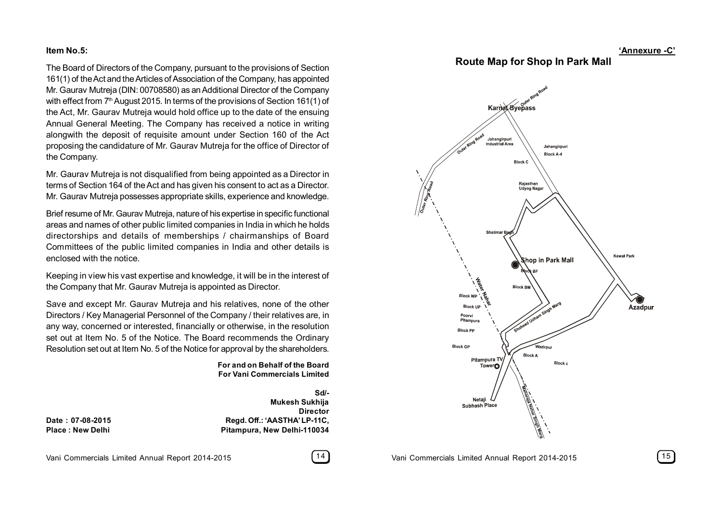### **Item No.5:**

The Board of Directors of the Company, pursuant to the provisions of Section 161(1) of the Act and the Articles of Association of the Company, has appointed Mr. Gaurav Mutreja (DIN: 00708580) as an Additional Director of the Company with effect from  $7<sup>th</sup>$  August 2015. In terms of the provisions of Section 161(1) of the Act, Mr. Gaurav Mutreja would hold office up to the date of the ensuing Annual General Meeting. The Company has received a notice in writing alongwith the deposit of requisite amount under Section 160 of the Act proposing the candidature of Mr. Gaurav Mutreja for the office of Director of the Company.

Mr. Gaurav Mutreja is not disqualified from being appointed as a Director in terms of Section 164 of the Act and has given his consent to act as a Director. Mr. Gaurav Mutreja possesses appropriate skills, experience and knowledge.

Brief resume of Mr. Gaurav Mutreja, nature of his expertise in specific functional areas and names of other public limited companies in India in which he holds directorships and details of memberships / chairmanships of Board Committees of the public limited companies in India and other details is enclosed with the notice.

Keeping in view his vast expertise and knowledge, it will be in the interest of the Company that Mr. Gaurav Mutreja is appointed as Director.

Save and except Mr. Gaurav Mutreja and his relatives, none of the other Directors / Key Managerial Personnel of the Company / their relatives are, in any way, concerned or interested, financially or otherwise, in the resolution set out at Item No. 5 of the Notice. The Board recommends the Ordinary Resolution set out at Item No. 5 of the Notice for approval by the shareholders.

> **For and on Behalf of the Board For Vani Commercials Limited**

**Sd/- Mukesh Sukhija Director Date : 07-08-2015 Regd. Off.: 'AASTHA' LP-11C, Place : New Delhi Pitampura, New Delhi-110034**

**Route Map for Shop In Park Mall**



**'Annexure -C'**

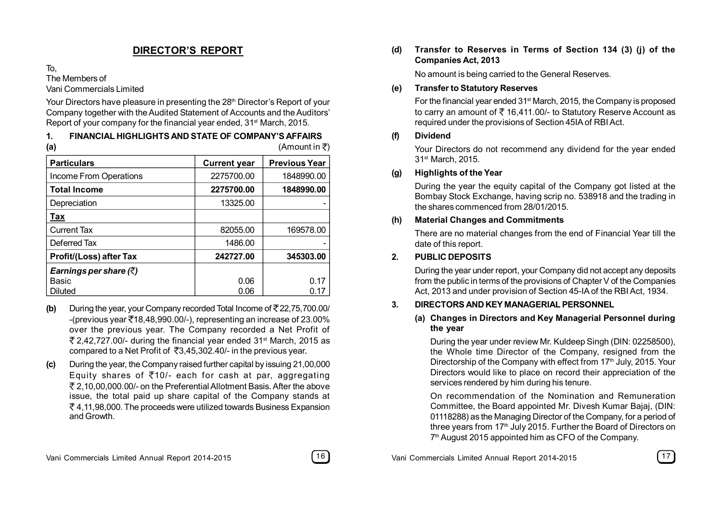# **DIRECTOR'S REPORT**

## To,

The Members of

Vani Commercials Limited

Your Directors have pleasure in presenting the 28<sup>th</sup> Director's Report of your Company together with the Audited Statement of Accounts and the Auditors' Report of your company for the financial year ended, 31<sup>st</sup> March, 2015.

### **1. FINANCIAL HIGHLIGHTS AND STATE OF COMPANY'S AFFAIRS (a)**  $($ **a**  $)$

| <b>Particulars</b>                 | <b>Current year</b> | <b>Previous Year</b> |
|------------------------------------|---------------------|----------------------|
| Income From Operations             | 2275700.00          | 1848990.00           |
| <b>Total Income</b>                | 2275700.00          | 1848990.00           |
| Depreciation                       | 13325.00            |                      |
| Tax                                |                     |                      |
| <b>Current Tax</b>                 | 82055.00            | 169578.00            |
| Deferred Tax                       | 1486.00             |                      |
| <b>Profit/(Loss) after Tax</b>     | 242727.00           | 345303.00            |
| Earnings per share $(\bar{\zeta})$ |                     |                      |
| Basic                              | 0.06                | 0.17                 |
| Diluted                            | 0.06                | 0.17                 |

- **(b)** During the year, your Company recorded Total Income of  $\overline{\mathfrak{T}}$  22,75,700.00/ -(previous year  $\overline{5}18,48,990.00/$ ), representing an increase of 23.00% over the previous year. The Company recorded a Net Profit of  $\overline{2}$  2.42,727,00/- during the financial year ended 31<sup>st</sup> March, 2015 as compared to a Net Profit of  $\overline{5}3,45,302.40/$ - in the previous year.
- **(c)** During the year, the Company raised further capital by issuing 21,00,000 Equity shares of  $\overline{5}10/-$  each for cash at par, aggregating 2,10,00,000.00/- on the Preferential Allotment Basis. After the above issue, the total paid up share capital of the Company stands at 4,11,98,000. The proceeds were utilized towards Business Expansion and Growth.

# **(d) Transfer to Reserves in Terms of Section 134 (3) (j) of the Companies Act, 2013**

No amount is being carried to the General Reserves.

# **(e) Transfer to Statutory Reserves**

For the financial year ended 31st March, 2015, the Company is proposed to carry an amount of  $\overline{\xi}$  16,411.00/- to Statutory Reserve Account as required under the provisions of Section 45IA of RBI Act.

# **(f) Dividend**

Your Directors do not recommend any dividend for the year ended 31st March, 2015.

# **(g) Highlights of the Year**

During the year the equity capital of the Company got listed at the Bombay Stock Exchange, having scrip no. 538918 and the trading in the shares commenced from 28/01/2015.

# **(h) Material Changes and Commitments**

There are no material changes from the end of Financial Year till the date of this report.

# **2. PUBLIC DEPOSITS**

During the year under report, your Company did not accept any deposits from the public in terms of the provisions of Chapter V of the Companies Act, 2013 and under provision of Section 45-IA of the RBI Act, 1934.

# **3. DIRECTORS AND KEY MANAGERIAL PERSONNEL**

# **(a) Changes in Directors and Key Managerial Personnel during the year**

During the year under review Mr. Kuldeep Singh (DIN: 02258500), the Whole time Director of the Company, resigned from the Directorship of the Company with effect from 17<sup>th</sup> July, 2015. Your Directors would like to place on record their appreciation of the services rendered by him during his tenure.

On recommendation of the Nomination and Remuneration Committee, the Board appointed Mr. Divesh Kumar Bajaj, (DIN: 01118288) as the Managing Director of the Company, for a period of three years from 17<sup>th</sup> July 2015. Further the Board of Directors on 7 th August 2015 appointed him as CFO of the Company.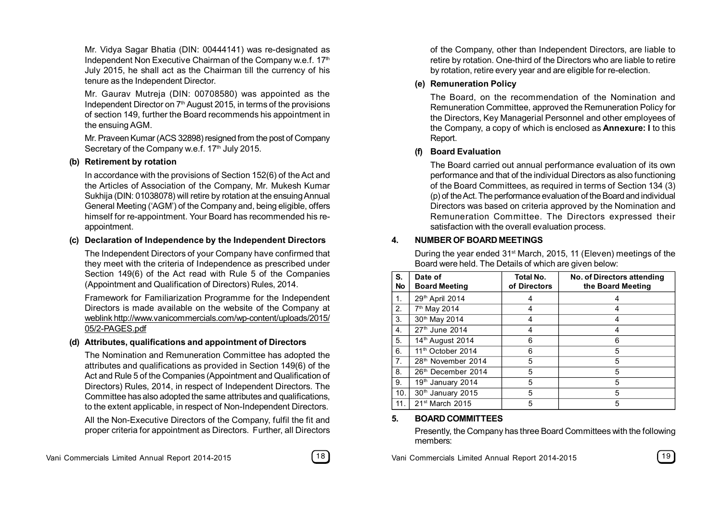Mr. Vidya Sagar Bhatia (DIN: 00444141) was re-designated as Independent Non Executive Chairman of the Company w.e.f.  $17<sup>th</sup>$ July 2015, he shall act as the Chairman till the currency of his tenure as the Independent Director.

Mr. Gaurav Mutreja (DIN: 00708580) was appointed as the Independent Director on 7<sup>th</sup> August 2015, in terms of the provisions of section 149, further the Board recommends his appointment in the ensuing AGM.

Mr. Praveen Kumar (ACS 32898) resigned from the post of Company Secretary of the Company w.e.f. 17<sup>th</sup> July 2015.

### **(b) Retirement by rotation**

In accordance with the provisions of Section 152(6) of the Act and the Articles of Association of the Company, Mr. Mukesh Kumar Sukhija (DIN: 01038078) will retire by rotation at the ensuing Annual General Meeting ('AGM') of the Company and, being eligible, offers himself for re-appointment. Your Board has recommended his reappointment.

### **(c) Declaration of Independence by the Independent Directors**

The Independent Directors of your Company have confirmed that they meet with the criteria of Independence as prescribed under Section 149(6) of the Act read with Rule 5 of the Companies (Appointment and Qualification of Directors) Rules, 2014.

Framework for Familiarization Programme for the Independent Directors is made available on the website of the Company at weblink http://www.vanicommercials.com/wp-content/uploads/2015/ 05/2-PAGES.pdf

### **(d) Attributes, qualifications and appointment of Directors**

The Nomination and Remuneration Committee has adopted the attributes and qualifications as provided in Section 149(6) of the Act and Rule 5 of the Companies (Appointment and Qualification of Directors) Rules, 2014, in respect of Independent Directors. The Committee has also adopted the same attributes and qualifications, to the extent applicable, in respect of Non-Independent Directors.

All the Non-Executive Directors of the Company, fulfil the fit and proper criteria for appointment as Directors. Further, all Directors



of the Company, other than Independent Directors, are liable to retire by rotation. One-third of the Directors who are liable to retire by rotation, retire every year and are eligible for re-election.

# **(e) Remuneration Policy**

The Board, on the recommendation of the Nomination and Remuneration Committee, approved the Remuneration Policy for the Directors, Key Managerial Personnel and other employees of the Company, a copy of which is enclosed as **Annexure: I** to this Report.

# **(f) Board Evaluation**

The Board carried out annual performance evaluation of its own performance and that of the individual Directors as also functioning of the Board Committees, as required in terms of Section 134 (3) (p) of the Act. The performance evaluation of the Board and individual Directors was based on criteria approved by the Nomination and Remuneration Committee. The Directors expressed their satisfaction with the overall evaluation process.

# **4. NUMBER OF BOARD MEETINGS**

During the year ended 31<sup>st</sup> March, 2015, 11 (Eleven) meetings of the Board were held. The Details of which are given below:

| S.<br>No | Date of<br><b>Board Meeting</b> | Total No.<br>of Directors | No. of Directors attending<br>the Board Meeting |
|----------|---------------------------------|---------------------------|-------------------------------------------------|
| 1.       | 29th April 2014                 | 4                         | 4                                               |
| 2.       | 7 <sup>th</sup> May 2014        | 4                         | 4                                               |
| 3.       | 30th May 2014                   | 4                         | 4                                               |
| 4.       | 27 <sup>th</sup> June 2014      | 4                         | 4                                               |
| 5.       | 14 <sup>th</sup> August 2014    | 6                         | 6                                               |
| 6.       | 11 <sup>th</sup> October 2014   | 6                         | 5                                               |
| 7.       | 28 <sup>th</sup> November 2014  | 5                         | 5                                               |
| 8.       | 26 <sup>th</sup> December 2014  | 5                         | 5                                               |
| 9.       | 19 <sup>th</sup> January 2014   | 5                         | 5                                               |
| 10.      | 30th January 2015               | 5                         | 5                                               |
| 11.      | $21st$ March 2015               | 5                         | 5                                               |

# **5. BOARD COMMITTEES**

Presently, the Company has three Board Committees with the following members:

Vani Commercials Limited Annual Report 2014-2015 **19**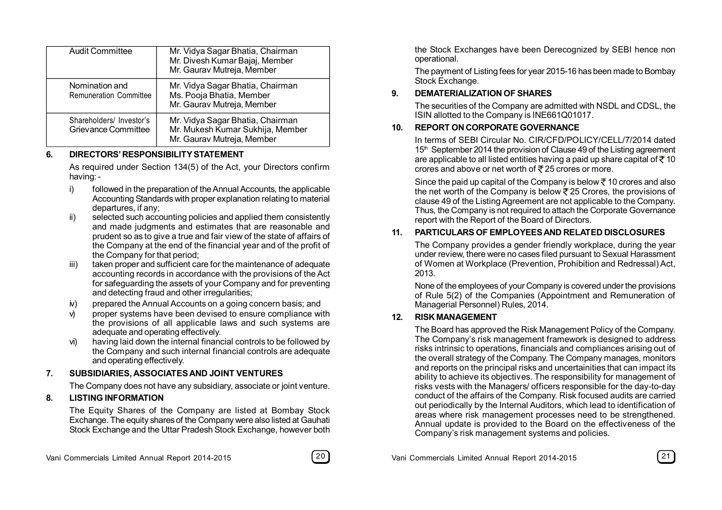| <b>Audit Committee</b>                          | Mr. Vidya Sagar Bhatia, Chairman<br>Mr. Divesh Kumar Bajaj, Member<br>Mr. Gaurav Mutreja, Member   |
|-------------------------------------------------|----------------------------------------------------------------------------------------------------|
| Nomination and<br>Remuneration Committee        | Mr. Vidya Sagar Bhatia, Chairman<br>Ms. Pooja Bhatia, Member<br>Mr. Gaurav Mutreja, Member         |
| Shareholders/ Investor's<br>Grievance Committee | Mr. Vidya Sagar Bhatia, Chairman<br>Mr. Mukesh Kumar Sukhija, Member<br>Mr. Gaurav Mutreja, Member |

# **6. DIRECTORS' RESPONSIBILITY STATEMENT**

As required under Section 134(5) of the Act, your Directors confirm having: -

- i) followed in the preparation of the Annual Accounts, the applicable Accounting Standards with proper explanation relating to material departures, if any;
- ii) selected such accounting policies and applied them consistently and made judgments and estimates that are reasonable and prudent so as to give a true and fair view of the state of affairs of the Company at the end of the financial year and of the profit of the Company for that period;
- iii) taken proper and sufficient care for the maintenance of adequate accounting records in accordance with the provisions of the Act for safeguarding the assets of your Company and for preventing and detecting fraud and other irregularities;
- iv) prepared the Annual Accounts on a going concern basis; and
- v) proper systems have been devised to ensure compliance with the provisions of all applicable laws and such systems are adequate and operating effectively.
- vi) having laid down the internal financial controls to be followed by the Company and such internal financial controls are adequate and operating effectively.

# **7. SUBSIDIARIES, ASSOCIATES AND JOINT VENTURES**

The Company does not have any subsidiary, associate or joint venture.

# **8. LISTING INFORMATION**

The Equity Shares of the Company are listed at Bombay Stock Exchange. The equity shares of the Company were also listed at Gauhati Stock Exchange and the Uttar Pradesh Stock Exchange, however both



the Stock Exchanges have been Derecognized by SEBI hence non operational.

The payment of Listing fees for year 2015-16 has been made to Bombay Stock Exchange.

# **9. DEMATERIALIZATION OF SHARES**

The securities of the Company are admitted with NSDL and CDSL, the ISIN allotted to the Company is INE661Q01017.

# **10. REPORT ON CORPORATE GOVERNANCE**

In terms of SEBI Circular No. CIR/CFD/POLICY/CELL/7/2014 dated 15<sup>th</sup> September 2014 the provision of Clause 49 of the Listing agreement are applicable to all listed entities having a paid up share capital of  $\bar{\tau}$  10 crores and above or net worth of  $\bar{\tau}$  25 crores or more.

Since the paid up capital of the Company is below  $\bar{\tau}$  10 crores and also the net worth of the Company is below  $\bar{z}$  25 Crores, the provisions of clause 49 of the Listing Agreement are not applicable to the Company. Thus, the Company is not required to attach the Corporate Governance report with the Report of the Board of Directors.

# **11. PARTICULARS OF EMPLOYEES AND RELATED DISCLOSURES**

The Company provides a gender friendly workplace, during the year under review, there were no cases filed pursuant to Sexual Harassment of Women at Workplace (Prevention, Prohibition and Redressal) Act, 2013.

None of the employees of your Company is covered under the provisions of Rule 5(2) of the Companies (Appointment and Remuneration of Managerial Personnel) Rules, 2014.

# **12. RISK MANAGEMENT**

The Board has approved the Risk Management Policy of the Company. The Company's risk management framework is designed to address risks intrinsic to operations, financials and compliances arising out of the overall strategy of the Company. The Company manages, monitors and reports on the principal risks and uncertainities that can impact its ability to achieve its objectives. The responsibility for management of risks vests with the Managers/ officers responsible for the day-to-day conduct of the affairs of the Company. Risk focused audits are carried out periodically by the Internal Auditors, which lead to identification of areas where risk management processes need to be strengthened. Annual update is provided to the Board on the effectiveness of the Company's risk management systems and policies.

Vani Commercials Limited Annual Report 2014-2015 **21**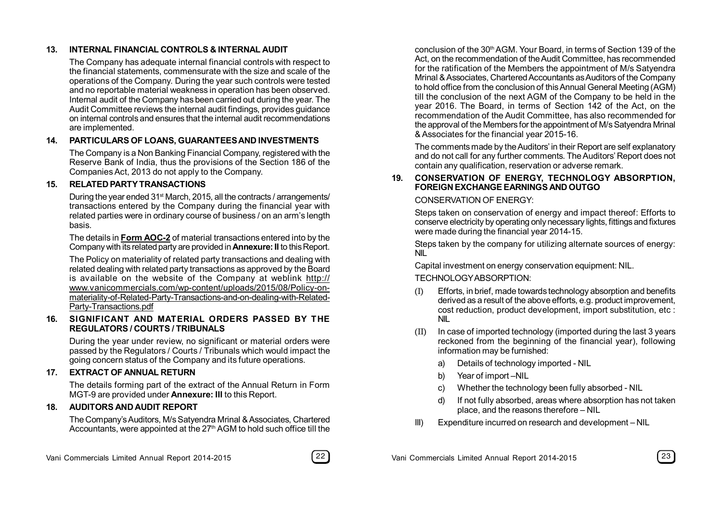# **13. INTERNAL FINANCIAL CONTROLS & INTERNAL AUDIT**

The Company has adequate internal financial controls with respect to the financial statements, commensurate with the size and scale of the operations of the Company. During the year such controls were tested and no reportable material weakness in operation has been observed. Internal audit of the Company has been carried out during the year. The Audit Committee reviews the internal audit findings, provides guidance on internal controls and ensures that the internal audit recommendations are implemented.

# **14. PARTICULARS OF LOANS, GUARANTEES AND INVESTMENTS**

The Company is a Non Banking Financial Company, registered with the Reserve Bank of India, thus the provisions of the Section 186 of the Companies Act, 2013 do not apply to the Company.

# **15. RELATED PARTY TRANSACTIONS**

During the year ended 31<sup>st</sup> March, 2015, all the contracts / arrangements/ transactions entered by the Company during the financial year with related parties were in ordinary course of business / on an arm's length basis.

The details in **Form AOC-2** of material transactions entered into by the Company with its related party are provided in **Annexure: II** to this Report.

The Policy on materiality of related party transactions and dealing with related dealing with related party transactions as approved by the Board is available on the website of the Company at weblink http:// www.vanicommercials.com/wp-content/uploads/2015/08/Policy-onmateriality-of-Related-Party-Transactions-and-on-dealing-with-Related-Party-Transactions.pdf

### **16. SIGNIFICANT AND MATERIAL ORDERS PASSED BY THE REGULATORS / COURTS / TRIBUNALS**

During the year under review, no significant or material orders were passed by the Regulators / Courts / Tribunals which would impact the going concern status of the Company and its future operations.

### **17. EXTRACT OF ANNUAL RETURN**

The details forming part of the extract of the Annual Return in Form MGT-9 are provided under **Annexure: III** to this Report.

# **18. AUDITORS AND AUDIT REPORT**

The Company's Auditors, M/s Satyendra Mrinal & Associates, Chartered Accountants, were appointed at the 27<sup>th</sup> AGM to hold such office till the

conclusion of the 30th AGM. Your Board, in terms of Section 139 of the Act, on the recommendation of the Audit Committee, has recommended for the ratification of the Members the appointment of M/s Satyendra Mrinal & Associates, Chartered Accountants as Auditors of the Company to hold office from the conclusion of this Annual General Meeting (AGM) till the conclusion of the next AGM of the Company to be held in the year 2016. The Board, in terms of Section 142 of the Act, on the recommendation of the Audit Committee, has also recommended for the approval of the Members for the appointment of M/s Satyendra Mrinal & Associates for the financial year 2015-16.

The comments made by the Auditors' in their Report are self explanatory and do not call for any further comments. The Auditors' Report does not contain any qualification, reservation or adverse remark.

# **19. CONSERVATION OF ENERGY, TECHNOLOGY ABSORPTION, FOREIGN EXCHANGE EARNINGS AND OUTGO**

# CONSERVATION OF ENERGY:

Steps taken on conservation of energy and impact thereof: Efforts to conserve electricity by operating only necessary lights, fittings and fixtures were made during the financial year 2014-15.

Steps taken by the company for utilizing alternate sources of energy: NIL

Capital investment on energy conservation equipment: NIL.

# TECHNOLOGY ABSORPTION:

- (I) Efforts, in brief, made towards technology absorption and benefits derived as a result of the above efforts, e.g. product improvement, cost reduction, product development, import substitution, etc : NIL
- (II) In case of imported technology (imported during the last 3 years reckoned from the beginning of the financial year), following information may be furnished:
	- a) Details of technology imported NIL
	- b) Year of import –NIL
	- c) Whether the technology been fully absorbed NIL
	- d) If not fully absorbed, areas where absorption has not taken place, and the reasons therefore – NIL
- III) Expenditure incurred on research and development NIL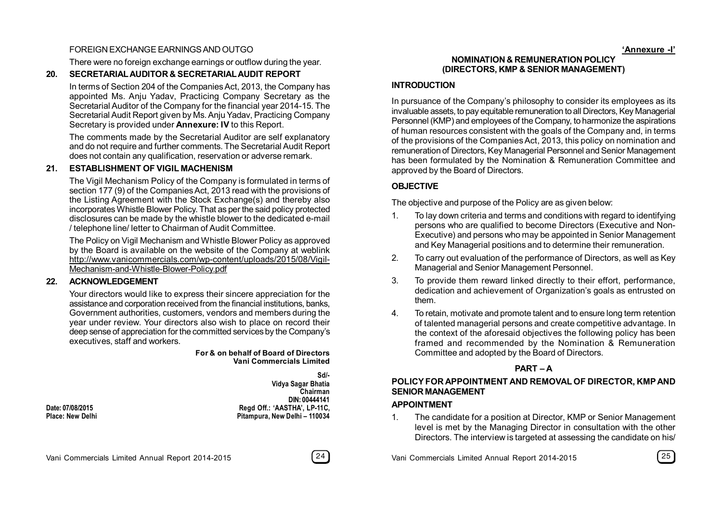# FOREIGN EXCHANGE EARNINGS AND OUTGO

There were no foreign exchange earnings or outflow during the year.

# **20. SECRETARIAL AUDITOR & SECRETARIAL AUDIT REPORT**

In terms of Section 204 of the Companies Act, 2013, the Company has appointed Ms. Anju Yadav, Practicing Company Secretary as the Secretarial Auditor of the Company for the financial year 2014-15. The Secretarial Audit Report given by Ms. Anju Yadav, Practicing Company Secretary is provided under **Annexure: IV** to this Report.

The comments made by the Secretarial Auditor are self explanatory and do not require and further comments. The Secretarial Audit Report does not contain any qualification, reservation or adverse remark.

# **21. ESTABLISHMENT OF VIGIL MACHENISM**

The Vigil Mechanism Policy of the Company is formulated in terms of section 177 (9) of the Companies Act, 2013 read with the provisions of the Listing Agreement with the Stock Exchange(s) and thereby also incorporates Whistle Blower Policy. That as per the said policy protected disclosures can be made by the whistle blower to the dedicated e-mail / telephone line/ letter to Chairman of Audit Committee.

The Policy on Vigil Mechanism and Whistle Blower Policy as approved by the Board is available on the website of the Company at weblink http://www.vanicommercials.com/wp-content/uploads/2015/08/Vigil-Mechanism-and-Whistle-Blower-Policy.pdf

# **22. ACKNOWLEDGEMENT**

Your directors would like to express their sincere appreciation for the assistance and corporation received from the financial institutions, banks, Government authorities, customers, vendors and members during the year under review. Your directors also wish to place on record their deep sense of appreciation for the committed services by the Company's executives, staff and workers.

> **For & on behalf of Board of Directors Vani Commercials Limited**

**Sd/- Vidya Sagar Bhatia Chairman DIN: 00444141 Date: 07/08/2015 Regd Off.: 'AASTHA', LP-11C,** Pitampura, New Delhi – 110034

### **'Annexure -I' NOMINATION & REMUNERATION POLICY (DIRECTORS, KMP & SENIOR MANAGEMENT)**

# **INTRODUCTION**

In pursuance of the Company's philosophy to consider its employees as its invaluable assets, to pay equitable remuneration to all Directors, Key Managerial Personnel (KMP) and employees of the Company, to harmonize the aspirations of human resources consistent with the goals of the Company and, in terms of the provisions of the Companies Act, 2013, this policy on nomination and remuneration of Directors, Key Managerial Personnel and Senior Management has been formulated by the Nomination & Remuneration Committee and approved by the Board of Directors.

# **OBJECTIVE**

The objective and purpose of the Policy are as given below:

- 1. To lay down criteria and terms and conditions with regard to identifying persons who are qualified to become Directors (Executive and Non-Executive) and persons who may be appointed in Senior Management and Key Managerial positions and to determine their remuneration.
- 2. To carry out evaluation of the performance of Directors, as well as Key Managerial and Senior Management Personnel.
- 3. To provide them reward linked directly to their effort, performance, dedication and achievement of Organization's goals as entrusted on them.
- 4. To retain, motivate and promote talent and to ensure long term retention of talented managerial persons and create competitive advantage. In the context of the aforesaid objectives the following policy has been framed and recommended by the Nomination & Remuneration Committee and adopted by the Board of Directors.

# **PART – A**

# **POLICY FOR APPOINTMENT AND REMOVAL OF DIRECTOR, KMP AND SENIOR MANAGEMENT**

# **APPOINTMENT**

1. The candidate for a position at Director, KMP or Senior Management level is met by the Managing Director in consultation with the other Directors. The interview is targeted at assessing the candidate on his/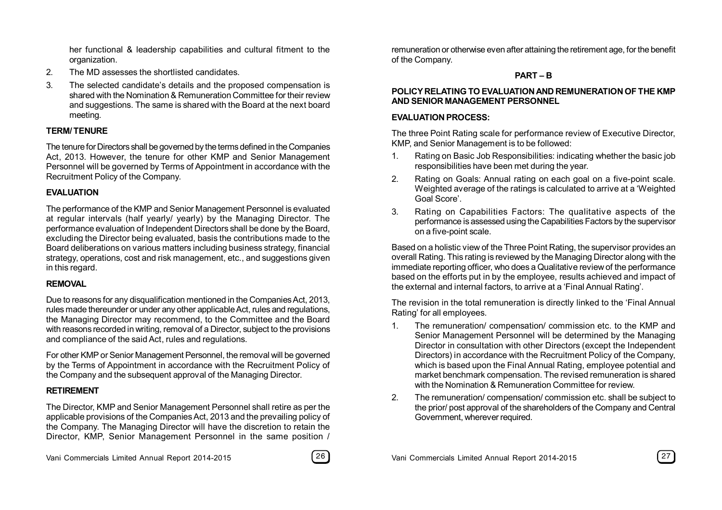her functional & leadership capabilities and cultural fitment to the organization.

- 2. The MD assesses the shortlisted candidates.
- 3. The selected candidate's details and the proposed compensation is shared with the Nomination & Remuneration Committee for their review and suggestions. The same is shared with the Board at the next board meeting.

# **TERM/ TENURE**

The tenure for Directors shall be governed by the terms defined in the Companies Act, 2013. However, the tenure for other KMP and Senior Management Personnel will be governed by Terms of Appointment in accordance with the Recruitment Policy of the Company.

# **EVALUATION**

The performance of the KMP and Senior Management Personnel is evaluated at regular intervals (half yearly/ yearly) by the Managing Director. The performance evaluation of Independent Directors shall be done by the Board, excluding the Director being evaluated, basis the contributions made to the Board deliberations on various matters including business strategy, financial strategy, operations, cost and risk management, etc., and suggestions given in this regard.

# **REMOVAL**

Due to reasons for any disqualification mentioned in the Companies Act, 2013, rules made thereunder or under any other applicable Act, rules and regulations, the Managing Director may recommend, to the Committee and the Board with reasons recorded in writing, removal of a Director, subject to the provisions and compliance of the said Act, rules and regulations.

For other KMP or Senior Management Personnel, the removal will be governed by the Terms of Appointment in accordance with the Recruitment Policy of the Company and the subsequent approval of the Managing Director.

# **RETIREMENT**

The Director, KMP and Senior Management Personnel shall retire as per the applicable provisions of the Companies Act, 2013 and the prevailing policy of the Company. The Managing Director will have the discretion to retain the Director, KMP, Senior Management Personnel in the same position /

remuneration or otherwise even after attaining the retirement age, for the benefit of the Company.

# **PART – B**

# **POLICY RELATING TO EVALUATION AND REMUNERATION OF THE KMP AND SENIOR MANAGEMENT PERSONNEL**

# **EVALUATION PROCESS:**

The three Point Rating scale for performance review of Executive Director, KMP, and Senior Management is to be followed:

- 1. Rating on Basic Job Responsibilities: indicating whether the basic job responsibilities have been met during the year.
- 2. Rating on Goals: Annual rating on each goal on a five-point scale. Weighted average of the ratings is calculated to arrive at a 'Weighted Goal Score'.
- 3. Rating on Capabilities Factors: The qualitative aspects of the performance is assessed using the Capabilities Factors by the supervisor on a five-point scale.

Based on a holistic view of the Three Point Rating, the supervisor provides an overall Rating. This rating is reviewed by the Managing Director along with the immediate reporting officer, who does a Qualitative review of the performance based on the efforts put in by the employee, results achieved and impact of the external and internal factors, to arrive at a 'Final Annual Rating'.

The revision in the total remuneration is directly linked to the 'Final Annual Rating' for all employees.

- 1. The remuneration/ compensation/ commission etc. to the KMP and Senior Management Personnel will be determined by the Managing Director in consultation with other Directors (except the Independent Directors) in accordance with the Recruitment Policy of the Company, which is based upon the Final Annual Rating, employee potential and market benchmark compensation. The revised remuneration is shared with the Nomination & Remuneration Committee for review.
- 2. The remuneration/ compensation/ commission etc. shall be subject to the prior/ post approval of the shareholders of the Company and Central Government, wherever required.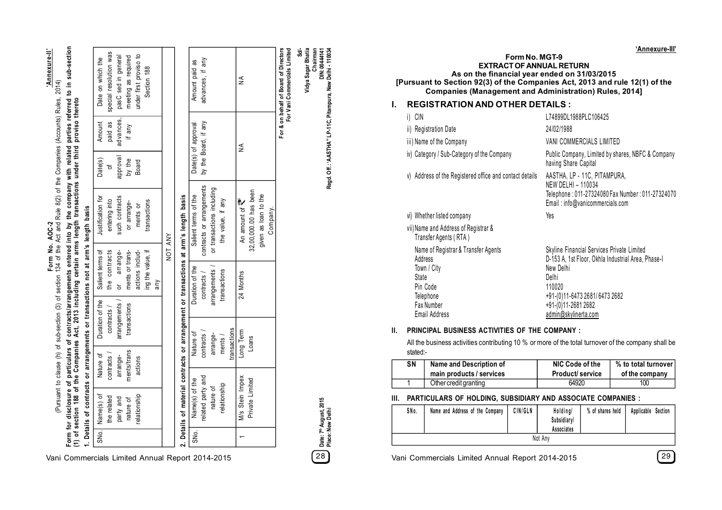Form for disclosure of particulars of contracts/arrangements entered into by the company with related parties referred to in sub-section<br>(1) of section 188 of the Companies Act, 2013 including certain arms length transacti **Form for disclosure of particulars of con**t**racts/arrangements entered into by the company with related parties referred to in sub-section** 'Annexure-II' **'Annexure-II'** Form No. AOC-2<br>(Pursuant to clause (h) of sub-section (3) of section 134 of the Act and Rule 8(2) of the Companies (Accounts) Rules, 2014) (Pursuant to clause (h) of sub-section (3) of section 134 of the Act and Rule 8(2) of the Companies (Accounts) Rules, 2014) **(1) of section 188 of the Companies Act, 2013 including certain arms length transactions under third proviso thereto Form No. AOC-2**

| 1. Details of contracts or arrangements or transactions not at arm's length basis | Amount   Date on which the<br>Date(s)<br>SNo.   Name(s) of     Nature of   Duration of the   Salient terms of   Justification for | special resolution was<br>paid as<br>entering into<br>the contracts<br>contracts /  <br>contracts /<br>the related | advances, pasC sed in general<br>approval<br>such contracts<br>arrangements / or arrange-<br>arrange-<br>party and | meeting as required<br>if any<br>by the<br>or arrange-<br>ments or trans-<br>transactions<br>ments/trans<br>nature of | under first proviso to<br>Board<br>ments or<br>actions includ-<br>actions<br>elationship | Section 188<br>transactions<br>ing the value, if | any |  |  |  |  |  |  |  |  |  |
|-----------------------------------------------------------------------------------|-----------------------------------------------------------------------------------------------------------------------------------|--------------------------------------------------------------------------------------------------------------------|--------------------------------------------------------------------------------------------------------------------|-----------------------------------------------------------------------------------------------------------------------|------------------------------------------------------------------------------------------|--------------------------------------------------|-----|--|--|--|--|--|--|--|--|--|
|-----------------------------------------------------------------------------------|-----------------------------------------------------------------------------------------------------------------------------------|--------------------------------------------------------------------------------------------------------------------|--------------------------------------------------------------------------------------------------------------------|-----------------------------------------------------------------------------------------------------------------------|------------------------------------------------------------------------------------------|--------------------------------------------------|-----|--|--|--|--|--|--|--|--|--|

NOT ANY

| For & on behalf of Board of Directors<br>For Vani Commercials Limited |                      |                                                                                       |                 |              |                   |      |
|-----------------------------------------------------------------------|----------------------|---------------------------------------------------------------------------------------|-----------------|--------------|-------------------|------|
|                                                                       |                      | Company.                                                                              |                 |              |                   |      |
|                                                                       |                      | given as loan to the                                                                  |                 |              |                   |      |
|                                                                       |                      | 32,00,000.00 has been                                                                 |                 | Loans        | Private Limited   |      |
| $\leq$                                                                | ≸                    | An amount of $\vec{\tau}$                                                             | 24 Months       | Long Term    | M/s Stein Impex   |      |
|                                                                       |                      |                                                                                       |                 | transactions |                   |      |
|                                                                       |                      | the value, if any                                                                     | transactions    | ments /      | relationship      |      |
|                                                                       |                      | or transactions including                                                             | arrangements /  | arrange-     | nature of         |      |
| advances, if any                                                      | by the Board, if any | contracts or arrangements                                                             | contracts /     | contracts    | related party and |      |
| Amount paid as                                                        | Date(s) of approval  | Salient terms of the                                                                  | Duration of the | Nature of    | Name(s) of the    | SNo. |
|                                                                       |                      | 2. Details of material contracts or arrangement or transactions at arm's length basis |                 |              |                   |      |
|                                                                       |                      |                                                                                       |                 |              |                   |      |

Vani Commercials Limited Annual Report 2014-2015 **28**

Sd/-<br>Jar Bhatia<br>Chairman **Vidya Sagar Bhatia Date: 7th August, 2015 DIN: 00444141**

**For Vani Commercials Limited**

**Place: New Delhi Regd. Off.: 'AASTHA" LP-11C, Pitampura, New Delhi - 110034** Date: 7<sup>th</sup> August, 2015<br>Place: New Delhi

|                                                                             | <b>AIIIEAUIC'I</b> |
|-----------------------------------------------------------------------------|--------------------|
| Form No. MGT-9                                                              |                    |
| <b>EXTRACT OF ANNUAL RETURN</b>                                             |                    |
| As on the financial year ended on 31/03/2015                                |                    |
| [Pursuant to Section 92(3) of the Companies Act, 2013 and rule 12(1) of the |                    |
| Companies (Management and Administration) Rules, 2014]                      |                    |
|                                                                             |                    |

# **I. REGISTRATION AND OTHER DETAILS :**

| i) CIN                                                                                                                         | L74899DL1988PLC106425                                                                                                                                                                                                   |
|--------------------------------------------------------------------------------------------------------------------------------|-------------------------------------------------------------------------------------------------------------------------------------------------------------------------------------------------------------------------|
| ii) Registration Date                                                                                                          | 24/02/1988                                                                                                                                                                                                              |
| iii) Name of the Company                                                                                                       | VANI COMMERCIALS LIMITED                                                                                                                                                                                                |
| iv) Category / Sub-Category of the Company                                                                                     | Public Company, Limited by shares, NBFC & Company<br>having Share Capital                                                                                                                                               |
| v) Address of the Registered office and contact details                                                                        | AASTHA, LP - 11C, PITAMPURA,<br>NEW DELHI - 110034<br>Telephone: 011-27324080 Fax Number: 011-27324070<br>Email: info@vanicommercials.com                                                                               |
| vi) Whether listed company                                                                                                     | Yes                                                                                                                                                                                                                     |
| vii) Name and Address of Registrar &<br>Transfer Agents (RTA)                                                                  |                                                                                                                                                                                                                         |
| Name of Registrar & Transfer Agents<br>Address<br>Town / City<br>State<br>Pin Code<br>Telephone<br>Fax Number<br>Email Address | Skyline Financial Services Private Limited<br>D-153 A, 1st Floor, Okhla Industrial Area, Phase-I<br>New Delhi<br>Delhi<br>110020<br>+91-(0)11-6473 2681/6473 2682<br>+91-(0)11-2681 2682<br><u>admin@skylinerta.com</u> |

### **II. PRINCIPAL BUSINESS ACTIVITIES OF THE COMPANY :**

All the business activities contributing 10 % or more of the total turnover of the company shall be stated:-

| SΝ | Name and Description of  | NIC Code of the        | % to total turnover l |
|----|--------------------------|------------------------|-----------------------|
|    | main products / services | <b>Product/service</b> | of the company        |
|    | Other credit granting    | 64920                  | 100                   |

### **III. PARTICULARS OF HOLDING, SUBSIDIARY AND ASSOCIATE COMPANIES :**

| SNo. | Name and Address of the Company | CIN/GLN | <b>Holdinal</b><br>Subsidiary/<br>Associates | % of shares held | Applicable Section |
|------|---------------------------------|---------|----------------------------------------------|------------------|--------------------|
|      |                                 |         | Not Anv                                      |                  |                    |

Vani Commercials Limited Annual Report 2014-2015 **29**

**'Annexure-III'**

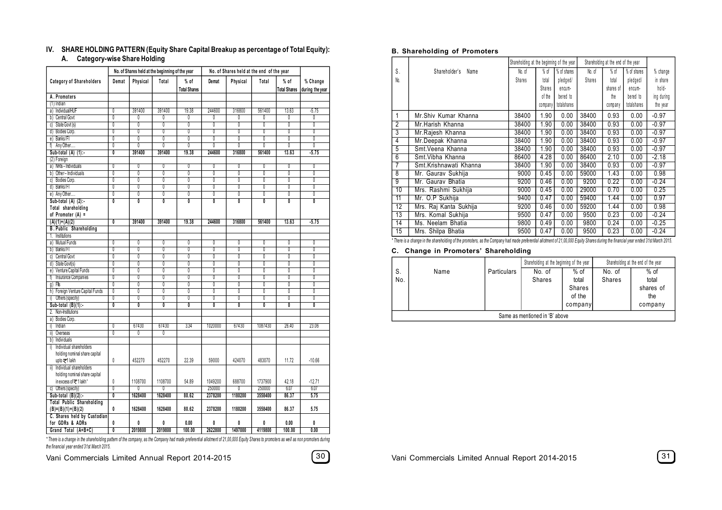### **IV. SHARE HOLDING PATTERN (Equity Share Capital Breakup as percentage of Total Equity):**

# **A. Category-wise Share Holding**

|                                                    |                         |                           | No. of Shares held at the beginning of the year |                         |                         | No. of Shares held at the end of the year |                   |                         |                         |
|----------------------------------------------------|-------------------------|---------------------------|-------------------------------------------------|-------------------------|-------------------------|-------------------------------------------|-------------------|-------------------------|-------------------------|
| Category of Shareholders                           | Demat                   | Physical                  | Total                                           | $%$ of                  | Demat                   | Physical                                  | Total             | $%$ of                  | % Change                |
|                                                    |                         |                           |                                                 | <b>Total Shares</b>     |                         |                                           |                   | <b>Total Shares</b>     | during the year         |
| A. Promoters                                       |                         |                           |                                                 |                         |                         |                                           |                   |                         |                         |
| (1) Indian                                         |                         |                           |                                                 |                         |                         |                                           |                   |                         |                         |
| a) Individual/HUF                                  | 0                       | 391400                    | 391400                                          | 19.38                   | 244600                  | 316800                                    | 561400            | 13.63                   | $-5.75$                 |
| b) Central Govt                                    | $\overline{0}$          | 0                         | 0                                               | 0                       | 0                       | 0                                         | 0                 | 0                       | 0                       |
| c) State Govt (s)                                  | $\overline{0}$          | $\overline{0}$            | $\overline{0}$                                  | $\overline{0}$          | $\overline{0}$          | $\overline{0}$                            | $\overline{0}$    | $\overline{0}$          | $\overline{0}$          |
| d) Bodies Corp.                                    | $\overline{0}$          | Ō                         | $\overline{0}$                                  | $\overline{0}$          | $\overline{0}$          | $\overline{0}$                            | 0                 | $\overline{\mathbf{0}}$ | $\overline{0}$          |
| e) Banks/FI                                        | 0                       | 0                         | 0                                               | 0                       | 0                       | 0                                         | 0                 | 0                       | 0                       |
| Any Other<br>f)                                    | $\overline{0}$          | $\overline{0}$            | 0                                               | $\overline{0}$          | $\overline{0}$          | $\overline{0}$                            | 0                 | 0                       | $\overline{0}$          |
| Sub-total $(A)$ $(1)$ :-                           | 0                       | 391400                    | 391400                                          | 19.38                   | 244600                  | 316800                                    | 561400            | 13.63                   | $-5.75$                 |
| (2) Foreign                                        |                         |                           |                                                 |                         |                         |                                           |                   |                         |                         |
| a) NRIs-Individuals                                | $\overline{0}$          | 0                         | $\overline{0}$                                  | $\overline{\mathbf{0}}$ | $\overline{0}$          | $\overline{0}$                            | $\overline{0}$    | 0                       | $\overline{0}$          |
| b) Other-Individuals                               | $\overline{0}$          | $\overline{0}$            | $\overline{0}$                                  | $\overline{0}$          | $\overline{0}$          | $\overline{0}$                            | 0                 | $\overline{0}$          | $\overline{0}$          |
| c) Bodies Corp.                                    | $\overline{0}$          | $\overline{0}$            | 0                                               | $\overline{0}$          | $\overline{0}$          | $\overline{0}$                            | 0                 | 0                       | $\overline{0}$          |
| d) Banks/FI                                        | 0                       | 0                         | 0                                               | 0                       | 0                       | $\overline{0}$                            | 0                 | 0                       | 0                       |
| e) Any Other                                       | $\overline{0}$          | 0                         | 0                                               | 0                       | 0                       | 0                                         | 0                 | 0                       | 0                       |
| Sub-total $(A)$ $(2)$ :                            | Ō                       | $\overline{\mathbf{0}}$   | $\overline{0}$                                  | Ō                       | Ō                       | $\overline{\mathbf{0}}$                   | Ō                 | 0                       | $\overline{0}$          |
| Total shareholding                                 |                         |                           |                                                 |                         |                         |                                           |                   |                         |                         |
| of Promoter (A) =                                  |                         |                           |                                                 |                         |                         |                                           |                   |                         |                         |
| $(A)(1)+(A)(2)$                                    | $\overline{\mathbf{0}}$ | 391400                    | 391400                                          | 19.38                   | 244600                  | 316800                                    | 561400            | 13.63                   | $-5.75$                 |
| <b>B. Public Shareholding</b>                      |                         |                           |                                                 |                         |                         |                                           |                   |                         |                         |
| 1. Institutions                                    |                         |                           |                                                 |                         |                         |                                           |                   |                         |                         |
| a) Mutual Funds                                    | 0                       | 0                         | 0                                               | 0                       | 0                       | 0                                         | 0                 | 0                       | 0                       |
| b) Banks/FI                                        | $\overline{0}$          | $\overline{0}$            | $\overline{0}$                                  | $\overline{0}$          | $\overline{0}$          | $\overline{0}$                            | 0                 | Ō                       | $\overline{0}$          |
| c) Central Govt                                    | $\overline{0}$          | 0                         | 0                                               | 0                       | 0                       | 0                                         | 0                 | 0                       | 0                       |
| d) State Govt(s)                                   | $\overline{0}$          | Ō                         | 0                                               | 0                       | $\overline{0}$          | $\overline{0}$                            | $\overline{0}$    | $\overline{0}$          | $\overline{0}$          |
| e) Venture Capital Funds                           | $\overline{0}$          | Ō                         | $\overline{0}$                                  | $\overline{0}$          | $\overline{0}$          | $\overline{0}$                            | Ō                 | Ō                       | $\overline{0}$          |
| <b>Insurance Companies</b><br>f)                   | 0                       | 0                         | 0                                               | 0                       | 0                       | 0                                         | 0                 | 0                       | 0                       |
| Fls<br>g)                                          | $\overline{0}$          | $\overline{0}$            | 0                                               | 0                       | $\overline{0}$          | $\overline{0}$                            | 0                 | Ō                       | $\overline{0}$          |
| h) Foreign Venture Capital Funds                   | 0                       | 0                         | 0                                               | 0                       | 0                       | 0                                         | 0                 | 0                       | 0                       |
| Others (specify)<br>j)                             | $\overline{0}$          | Ō                         | Ō                                               | Ō                       | Ō                       | 0                                         | 0                 | Ō                       | Ō                       |
| Sub-total $(B)(1)$ :-                              | $\overline{0}$          | $\overline{\mathbf{0}}$   | $\overline{\mathbf{0}}$                         | $\overline{\mathbf{0}}$ | $\overline{\mathbf{0}}$ | $\overline{\mathbf{0}}$                   | 0                 | $\overline{\mathbf{0}}$ | $\overline{\mathbf{0}}$ |
| 2. Non-Institutions                                |                         |                           |                                                 |                         |                         |                                           |                   |                         |                         |
| a) Bodies Corp.                                    |                         |                           |                                                 |                         |                         |                                           |                   |                         |                         |
| Indian<br>i)                                       | 0                       | 67430                     | 67430                                           | 3.34                    | 1020000                 | 67430                                     | 1087430           | 26.40                   | 23.06                   |
| Overseas<br>ii)                                    | 0                       | 0                         | 0                                               |                         |                         |                                           |                   |                         |                         |
| b) Individuals                                     |                         |                           |                                                 |                         |                         |                                           |                   |                         |                         |
| Individual shareholders<br>i)                      |                         |                           |                                                 |                         |                         |                                           |                   |                         |                         |
| holding nominal share capital                      |                         |                           |                                                 |                         |                         |                                           |                   |                         |                         |
| upto 국1 lakh                                       | 0                       | 452270                    | 452270                                          | 22.39                   | 59000                   | 424070                                    | 483070            | 11.72                   | $-10.66$                |
| ii) Individual shareholders                        |                         |                           |                                                 |                         |                         |                                           |                   |                         |                         |
| holding nominal share capital                      |                         |                           |                                                 |                         |                         |                                           |                   |                         |                         |
| in excess of ₹1 lakh "                             | 0<br>Ō                  | 1108700<br>$\overline{0}$ | 1108700<br>Ō                                    | 54.89                   | 1049200                 | 688700<br>Ō                               | 1737900<br>250000 | 42.18<br>6.07           | $-12.71$<br>6.07        |
| c) Others (specify)                                | Ō                       |                           |                                                 |                         | 250000                  |                                           |                   |                         |                         |
| Sub-total $(B)(2)$ :-                              |                         | 1628400                   | 1628400                                         | 80.62                   | 2378200                 | 1180200                                   | 3558400           | 86.37                   | 5.75                    |
| <b>Total Public Shareholding</b>                   | 0                       | 1628400                   | 1628400                                         | 80.62                   | 2378200                 | 1180200                                   | 3558400           | 86.37                   | 5.75                    |
| $(B)=(B)(1)+(B)(2)$<br>C. Shares held by Custodian |                         |                           |                                                 |                         |                         |                                           |                   |                         |                         |
| for GDRs & ADRs                                    | 0                       | 0                         | 0                                               | 0.00                    | 0                       | 0                                         | 0                 | 0.00                    | 0                       |
| Grand Total (A+B+C)                                | 0                       | 2019800                   | 2019800                                         | 100.00                  | 2622800                 | 1497000                                   | 4119800           | 100.00                  | 0.00                    |
|                                                    |                         |                           |                                                 |                         |                         |                                           |                   |                         |                         |

*\* There is a change in the shareholding pattern of the company, as the Company had made preferential allotment of 21,00,000 Equity Shares to promoters as well as non promoters during the financial year ended 31st March 2015.*

Vani Commercials Limited Annual Report 2014-2015 **30**

#### **B. Shareholding of Promoters**

|                 |                        | Shareholding at the beginning of the year |         |             |        | Shareholding at the end of the year |             |            |
|-----------------|------------------------|-------------------------------------------|---------|-------------|--------|-------------------------------------|-------------|------------|
| S.              | Shareholder's<br>Name  | No. of                                    | % of    | % of shares | No. of | % of                                | % of shares | % change   |
| No.             |                        | Shares                                    | total   | pledged/    | Shares | total                               | pledged/    | in share   |
|                 |                        |                                           | Shares  | encum-      |        | shares of                           | encum-      | hold-      |
|                 |                        |                                           | of the  | bered to    |        | the                                 | bered to    | ing during |
|                 |                        |                                           | company | totalshares |        | company                             | totalshares | the year   |
| 1               | Mr.Shiv Kumar Khanna   | 38400                                     | 1.90    | 0.00        | 38400  | 0.93                                | 0.00        | $-0.97$    |
| $\overline{2}$  | Mr.Harish Khanna       | 38400                                     | 1.90    | 0.00        | 38400  | 0.93                                | 0.00        | $-0.97$    |
| 3               | Mr.Rajesh Khanna       | 38400                                     | 1.90    | 0.00        | 38400  | 0.93                                | 0.00        | $-0.97$    |
| $\overline{4}$  | Mr.Deepak Khanna       | 38400                                     | 1.90    | 0.00        | 38400  | 0.93                                | 0.00        | $-0.97$    |
| 5               | Smt. Veena Khanna      | 38400                                     | 1.90    | 0.00        | 38400  | 0.93                                | 0.00        | $-0.97$    |
| $\overline{6}$  | Smt. Vibha Khanna      | 86400                                     | 4.28    | 0.00        | 86400  | 2.10                                | 0.00        | $-2.18$    |
| 7               | Smt.Krishnawati Khanna | 38400                                     | 1.90    | 0.00        | 38400  | 0.93                                | 0.00        | $-0.97$    |
| 8               | Mr. Gaurav Sukhija     | 9000                                      | 0.45    | 0.00        | 59000  | 1.43                                | 0.00        | 0.98       |
| 9               | Mr. Gaurav Bhatia      | 9200                                      | 0.46    | 0.00        | 9200   | 0.22                                | 0.00        | $-0.24$    |
| 10              | Mrs. Rashmi Sukhija    | 9000                                      | 0.45    | 0.00        | 29000  | 0.70                                | 0.00        | 0.25       |
| $\overline{11}$ | Mr. O.P Sukhija        | 9400                                      | 0.47    | 0.00        | 59400  | 1.44                                | 0.00        | 0.97       |
| $\overline{12}$ | Mrs. Raj Kanta Sukhija | 9200                                      | 0.46    | 0.00        | 59200  | 1.44                                | 0.00        | 0.98       |
| 13              | Mrs. Komal Sukhija     | 9500                                      | 0.47    | 0.00        | 9500   | 0.23                                | 0.00        | $-0.24$    |
| 14              | Ms. Neelam Bhatia      | 9800                                      | 0.49    | 0.00        | 9800   | 0.24                                | 0.00        | $-0.25$    |
| 15              | Mrs. Shilpa Bhatia     | 9500                                      | 0.47    | 0.00        | 9500   | 0.23                                | 0.00        | $-0.24$    |

*\* There is a change in the shareholding of the promoters, as the Company had made preferential allotment of 21,00,000 Equity Shares during the financial year ended 31st March 2015.*

#### **C. Change in Promoters' Shareholding**

|     |                                |                    | Shareholding at the beginning of the year |          | Shareholding at the end of the year |           |  |  |  |
|-----|--------------------------------|--------------------|-------------------------------------------|----------|-------------------------------------|-----------|--|--|--|
| S.  | Name                           | <b>Particulars</b> | No. of                                    | $%$ of   | No. of                              | $%$ of    |  |  |  |
| No. |                                |                    | <b>Shares</b>                             | total    | Shares                              | total     |  |  |  |
|     |                                |                    |                                           | Shares   |                                     | shares of |  |  |  |
|     |                                |                    |                                           | of the   |                                     | the       |  |  |  |
|     |                                |                    |                                           | companyl |                                     | company   |  |  |  |
|     | Same as mentioned in 'B' above |                    |                                           |          |                                     |           |  |  |  |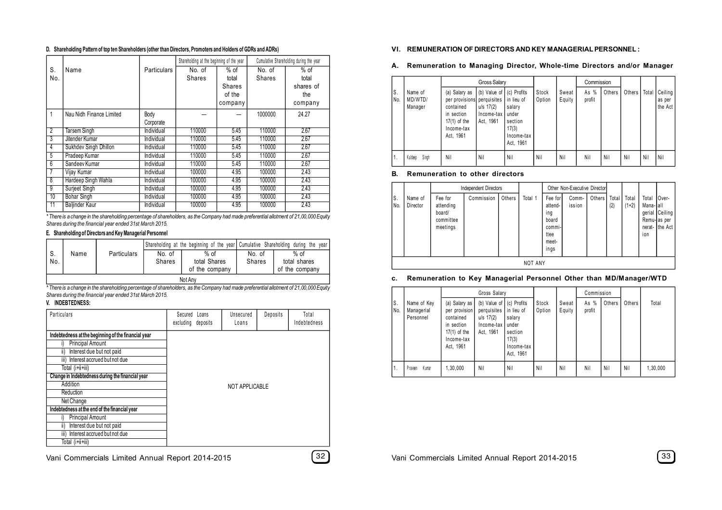#### **D. Shareholding Pattern of top ten Shareholders (other than Directors, Promoters and Holders of GDRs and ADRs)**

|                |                          |                    | Shareholding at the beginning of the year |         |               | Cumulative Shareholding during the year |
|----------------|--------------------------|--------------------|-------------------------------------------|---------|---------------|-----------------------------------------|
| S.             | Name                     | <b>Particulars</b> | No. of                                    | $%$ of  | No. of        | $%$ of                                  |
| No.            |                          |                    | <b>Shares</b>                             | total   | <b>Shares</b> | total                                   |
|                |                          |                    |                                           | Shares  |               | shares of                               |
|                |                          |                    |                                           | of the  |               | the                                     |
|                |                          |                    |                                           | company |               | company                                 |
|                | Nau Nidh Finance Limited | Body               |                                           |         | 1000000       | 24.27                                   |
|                |                          | Corporate          |                                           |         |               |                                         |
| $\overline{2}$ | <b>Tarsem Singh</b>      | Individual         | 110000                                    | 5.45    | 110000        | 2.67                                    |
| 3              | Jitender Kumar           | Individual         | 110000                                    | 5.45    | 110000        | 2.67                                    |
| 4              | Sukhdev Singh Dhillon    | Individual         | 110000                                    | 5.45    | 110000        | 2.67                                    |
| 5              | Pradeep Kumar            | Individual         | 110000                                    | 5.45    | 110000        | 2.67                                    |
| 6              | Sandeev Kumar            | Individual         | 110000                                    | 5.45    | 110000        | 2.67                                    |
|                | Vijay Kumar              | Individual         | 100000                                    | 4.95    | 100000        | 2.43                                    |
| 8              | Hardeep Singh Wahla      | Individual         | 100000                                    | 4.95    | 100000        | 2.43                                    |
| 9              | Surjeet Singh            | Individual         | 100000                                    | 4.95    | 100000        | 2.43                                    |
| 10             | <b>Bohar Singh</b>       | Individual         | 100000                                    | 4.95    | 100000        | 2.43                                    |
| 11             | Baljinder Kaur           | Individual         | 100000                                    | 4.95    | 100000        | 2.43                                    |

*\* There is a change in the shareholding percentage of shareholders, as the Company had made preferential allotment of 21,00,000 Equity Shares during the financial year ended 31st March 2015.*

#### **E. Shareholding of Directors and Key Managerial Personnel**

|         |      |                    |               |                |               | Shareholding at the beginning of the year Cumulative Shareholding during the year |  |  |  |  |
|---------|------|--------------------|---------------|----------------|---------------|-----------------------------------------------------------------------------------|--|--|--|--|
| S.      | Name | <b>Particulars</b> | No. of        | $%$ of         | No. of        | $%$ of                                                                            |  |  |  |  |
| No.     |      |                    | <b>Shares</b> | total Shares   | <b>Shares</b> | total shares                                                                      |  |  |  |  |
|         |      |                    |               | of the company |               | of the company                                                                    |  |  |  |  |
| Not Any |      |                    |               |                |               |                                                                                   |  |  |  |  |

*\* There is a change in the shareholding percentage of shareholders, as the Company had made preferential allotment of 21,00,000 Equity Shares during the financial year ended 31st March 2015.*

### **V. INDEBTEDNESS:**

| Particulars                                         | Secured Loans<br>excluding | deposits | Unsecured<br>Loans | Deposits | Total<br>Indebtedness |
|-----------------------------------------------------|----------------------------|----------|--------------------|----------|-----------------------|
| Indebtedness at the beginning of the financial year |                            |          |                    |          |                       |
| <b>Principal Amount</b>                             |                            |          |                    |          |                       |
| Interest due but not paid<br>ii)                    |                            |          |                    |          |                       |
| Interest accrued but not due<br>iii)                |                            |          |                    |          |                       |
| Total (i+ii+iii)                                    |                            |          |                    |          |                       |
| Change in Indebtedness during the financial year    |                            |          |                    |          |                       |
| Addition                                            |                            |          | NOT APPLICABLE     |          |                       |
| Reduction                                           |                            |          |                    |          |                       |
| Net Change                                          |                            |          |                    |          |                       |
| Indebtedness at the end of the financial year       |                            |          |                    |          |                       |
| <b>Principal Amount</b>                             |                            |          |                    |          |                       |
| Interest due but not paid<br>ii)                    |                            |          |                    |          |                       |
| Interest accrued but not due<br>iii)                |                            |          |                    |          |                       |
| Total (i+ii+iii)                                    |                            |          |                    |          |                       |

#### **VI. REMUNERATION OF DIRECTORS AND KEY MANAGERIAL PERSONNEL :**

#### **A. Remuneration to Managing Director, Whole-time Directors and/or Manager**

|           |                               |                                                                                                                   | Gross Salary                                           |                                                                                             |                 |                 | Commission     |        |        |       |                              |
|-----------|-------------------------------|-------------------------------------------------------------------------------------------------------------------|--------------------------------------------------------|---------------------------------------------------------------------------------------------|-----------------|-----------------|----------------|--------|--------|-------|------------------------------|
| S.<br>No. | Name of<br>MD/WTD/<br>Manager | (a) Salary as<br>per provisions perquisites<br>contained<br>in section<br>17(1) of the<br>Income-tax<br>Act, 1961 | (b) Value of<br>$u/s$ 17(2)<br>Income-tax<br>Act, 1961 | (c) Profits<br>in lieu of<br>salary<br>under<br>section<br>17(3)<br>Income-tax<br>Act, 1961 | Stock<br>Option | Sweat<br>Equity | As %<br>profit | Others | Others | Total | Ceiling<br>as per<br>the Act |
| 1.        | Kuldeep<br>Singh              | Nil                                                                                                               | Nil                                                    | Nil                                                                                         | Nil             | Nil             | Nil            | Nil    | Nil    | Nil   | Nil                          |

#### **B. Remuneration to other directors**

|             | Other Non-Executive Director<br>Independent Directors |                                                         |            |        |         |                                                                       |                 |               |              |                  |                           |                                                            |
|-------------|-------------------------------------------------------|---------------------------------------------------------|------------|--------|---------|-----------------------------------------------------------------------|-----------------|---------------|--------------|------------------|---------------------------|------------------------------------------------------------|
| S.<br>l No. | Name of<br>Director                                   | Fee for<br>attending<br>board/<br>committee<br>meetings | Commission | Others | Total 1 | Fee for<br>attend-<br>ing<br>board<br>commi-<br>ttee<br>meet-<br>ings | Comm-<br>ission | <b>Others</b> | Total<br>(2) | Total<br>$(1+2)$ | Total<br>Mana-lall<br>ion | 10ver-<br>gerial Ceiling<br>Remu-las per<br>nerat-Ithe Act |
|             | NOT ANY                                               |                                                         |            |        |         |                                                                       |                 |               |              |                  |                           |                                                            |

#### **c. Remuneration to Key Managerial Personnel Other than MD/Manager/WTD**

|           |                                        | Gross Salary                                                                                           |                                                                                     |                                                                              |                 |                 | Commission       |        |        |          |
|-----------|----------------------------------------|--------------------------------------------------------------------------------------------------------|-------------------------------------------------------------------------------------|------------------------------------------------------------------------------|-----------------|-----------------|------------------|--------|--------|----------|
| S.<br>No. | Name of Key<br>Managerial<br>Personnel | (a) Salary as<br>per provision<br>contained<br>in section<br>$17(1)$ of the<br>Income-tax<br>Act, 1961 | (b) Value of (c) Profits<br>perquisites  <br>$u/s$ 17(2)<br>Income-tax<br>Act. 1961 | in lieu of<br>salary<br>under<br>section<br>17(3)<br>Income-tax<br>Act, 1961 | Stock<br>Option | Sweat<br>Equity | As $%$<br>profit | Others | Others | Total    |
| 1.        | Kumar<br>P raveen                      | 1,30,000                                                                                               | Nil                                                                                 | Nil                                                                          | Nil             | Nil             | Nil              | Nil    | Nil    | 1,30,000 |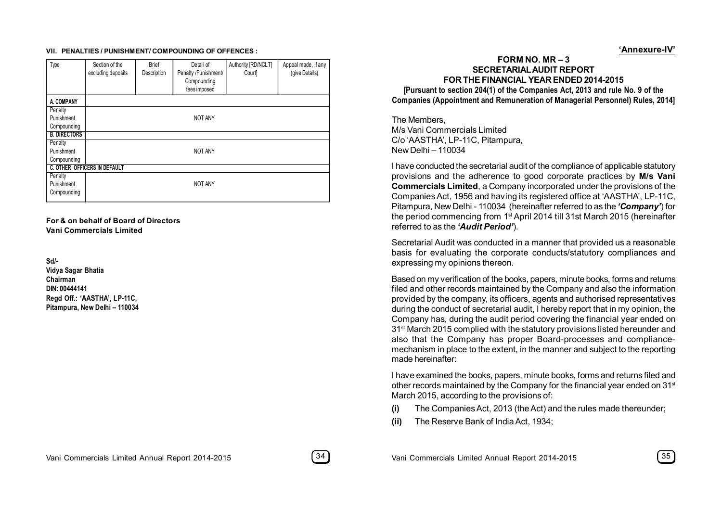#### **VII. PENALTIES / PUNISHMENT/ COMPOUNDING OF OFFENCES :**

| Type                | Section of the<br>excluding deposits | <b>Brief</b><br>Description | Detail of<br>Penalty /Punishment/<br>Compounding<br>fees imposed | Authority [RD/NCLT]<br>Court] | Appeal made, if any<br>(give Details) |
|---------------------|--------------------------------------|-----------------------------|------------------------------------------------------------------|-------------------------------|---------------------------------------|
| A. COMPANY          |                                      |                             |                                                                  |                               |                                       |
| Penalty             |                                      |                             |                                                                  |                               |                                       |
| Punishment          |                                      |                             | NOT ANY                                                          |                               |                                       |
| Compounding         |                                      |                             |                                                                  |                               |                                       |
| <b>B. DIRECTORS</b> |                                      |                             |                                                                  |                               |                                       |
| Penalty             |                                      |                             |                                                                  |                               |                                       |
| Punishment          |                                      |                             | NOT ANY                                                          |                               |                                       |
| Compounding         |                                      |                             |                                                                  |                               |                                       |
|                     | <b>C. OTHER OFFICERS IN DEFAULT</b>  |                             |                                                                  |                               |                                       |
| Penalty             |                                      |                             |                                                                  |                               |                                       |
| Punishment          |                                      |                             | <b>NOT ANY</b>                                                   |                               |                                       |
| Compounding         |                                      |                             |                                                                  |                               |                                       |

**For & on behalf of Board of Directors Vani Commercials Limited**

**Sd/-**

**Vidya Sagar Bhatia Chairman DIN: 00444141 Regd Off.: 'AASTHA', LP-11C, Pitampura, New Delhi – 110034**

**FORM NO. MR – 3 SECRETARIAL AUDIT REPORT FOR THE FINANCIAL YEAR ENDED 2014-2015 [Pursuant to section 204(1) of the Companies Act, 2013 and rule No. 9 of the Companies (Appointment and Remuneration of Managerial Personnel) Rules, 2014]**

The Members, M/s Vani Commercials Limited C/o 'AASTHA', LP-11C, Pitampura, New Delhi – 110034

I have conducted the secretarial audit of the compliance of applicable statutory provisions and the adherence to good corporate practices by **M/s Vani Commercials Limited**, a Company incorporated under the provisions of the Companies Act, 1956 and having its registered office at 'AASTHA', LP-11C, Pitampura, New Delhi - 110034 (hereinafter referred to as the *'Company'*) for the period commencing from 1st April 2014 till 31st March 2015 (hereinafter referred to as the *'Audit Period'*).

Secretarial Audit was conducted in a manner that provided us a reasonable basis for evaluating the corporate conducts/statutory compliances and expressing my opinions thereon.

Based on my verification of the books, papers, minute books, forms and returns filed and other records maintained by the Company and also the information provided by the company, its officers, agents and authorised representatives during the conduct of secretarial audit, I hereby report that in my opinion, the Company has, during the audit period covering the financial year ended on 31<sup>st</sup> March 2015 complied with the statutory provisions listed hereunder and also that the Company has proper Board-processes and compliancemechanism in place to the extent, in the manner and subject to the reporting made hereinafter:

I have examined the books, papers, minute books, forms and returns filed and other records maintained by the Company for the financial year ended on 31<sup>st</sup> March 2015, according to the provisions of:

- **(i)** The Companies Act, 2013 (the Act) and the rules made thereunder;
- **(ii)** The Reserve Bank of India Act, 1934;

**'Annexure-IV'**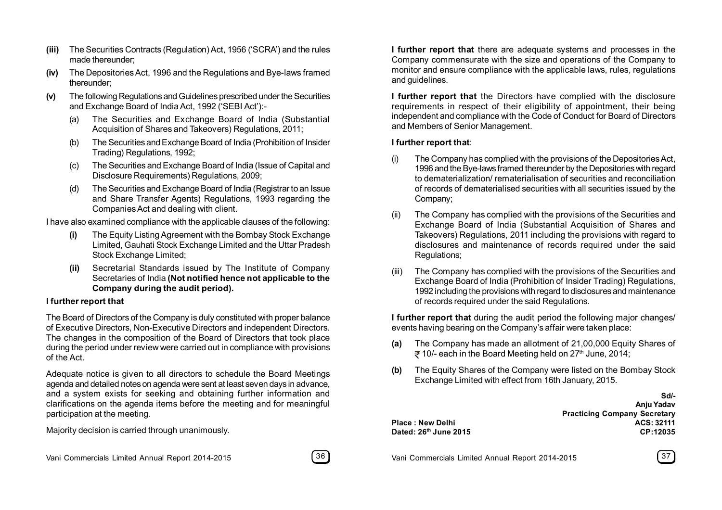- **(iii)** The Securities Contracts (Regulation) Act, 1956 ('SCRA') and the rules made thereunder:
- **(iv)** The Depositories Act, 1996 and the Regulations and Bye-laws framed thereunder;
- **(v)** The following Regulations and Guidelines prescribed under the Securities and Exchange Board of India Act, 1992 ('SEBI Act'):-
	- (a) The Securities and Exchange Board of India (Substantial Acquisition of Shares and Takeovers) Regulations, 2011;
	- (b) The Securities and Exchange Board of India (Prohibition of Insider Trading) Regulations, 1992;
	- (c) The Securities and Exchange Board of India (Issue of Capital and Disclosure Requirements) Regulations, 2009;
	- (d) The Securities and Exchange Board of India (Registrar to an Issue and Share Transfer Agents) Regulations, 1993 regarding the Companies Act and dealing with client.

I have also examined compliance with the applicable clauses of the following:

- **(i)** The Equity Listing Agreement with the Bombay Stock Exchange Limited, Gauhati Stock Exchange Limited and the Uttar Pradesh Stock Exchange Limited;
- **(ii)** Secretarial Standards issued by The Institute of Company Secretaries of India **(Not notified hence not applicable to the Company during the audit period).**

### **I further report that**

The Board of Directors of the Company is duly constituted with proper balance of Executive Directors, Non-Executive Directors and independent Directors. The changes in the composition of the Board of Directors that took place during the period under review were carried out in compliance with provisions of the Act.

Adequate notice is given to all directors to schedule the Board Meetings agenda and detailed notes on agenda were sent at least seven days in advance, and a system exists for seeking and obtaining further information and clarifications on the agenda items before the meeting and for meaningful participation at the meeting.

Majority decision is carried through unanimously.

**I further report that** there are adequate systems and processes in the Company commensurate with the size and operations of the Company to monitor and ensure compliance with the applicable laws, rules, regulations and guidelines.

**I further report that** the Directors have complied with the disclosure requirements in respect of their eligibility of appointment, their being independent and compliance with the Code of Conduct for Board of Directors and Members of Senior Management.

# **I further report that**:

 $PIace: New Delhi$ **Dated: 26th June 2015 CP:12035**

- (i) The Company has complied with the provisions of the Depositories Act, 1996 and the Bye-laws framed thereunder by the Depositories with regard to dematerialization/ rematerialisation of securities and reconciliation of records of dematerialised securities with all securities issued by the Company;
- (ii) The Company has complied with the provisions of the Securities and Exchange Board of India (Substantial Acquisition of Shares and Takeovers) Regulations, 2011 including the provisions with regard to disclosures and maintenance of records required under the said Regulations;
- (iii) The Company has complied with the provisions of the Securities and Exchange Board of India (Prohibition of Insider Trading) Regulations, 1992 including the provisions with regard to disclosures and maintenance of records required under the said Regulations.

**I further report that** during the audit period the following major changes/ events having bearing on the Company's affair were taken place:

- **(a)** The Company has made an allotment of 21,00,000 Equity Shares of  $\bar{\tau}$  10/- each in the Board Meeting held on 27<sup>th</sup> June, 2014;
- **(b)** The Equity Shares of the Company were listed on the Bombay Stock Exchange Limited with effect from 16th January, 2015.

| Sd/-                                |
|-------------------------------------|
| Anju Yadav                          |
| <b>Practicing Company Secretary</b> |
| ACS: 32111                          |
| CP:12035                            |
|                                     |

Vani Commercials Limited Annual Report 2014-2015 **37**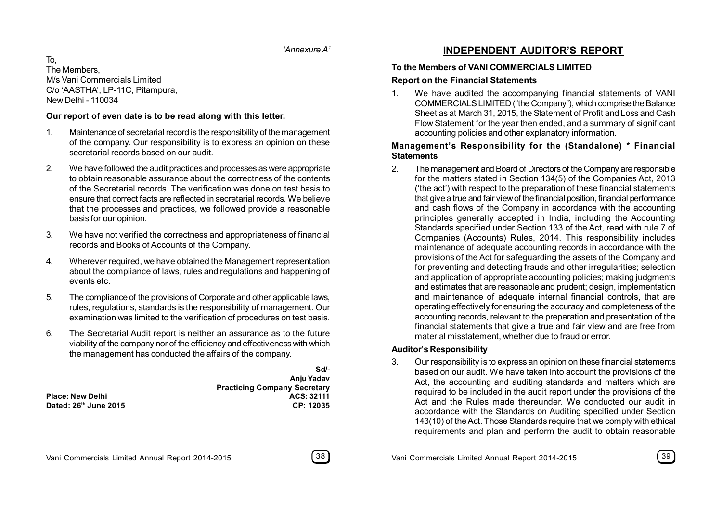# *'Annexure A'*

To, The Members, M/s Vani Commercials Limited C/o 'AASTHA', LP-11C, Pitampura, New Delhi - 110034

# **Our report of even date is to be read along with this letter.**

- 1. Maintenance of secretarial record is the responsibility of the management of the company. Our responsibility is to express an opinion on these secretarial records based on our audit.
- 2. We have followed the audit practices and processes as were appropriate to obtain reasonable assurance about the correctness of the contents of the Secretarial records. The verification was done on test basis to ensure that correct facts are reflected in secretarial records. We believe that the processes and practices, we followed provide a reasonable basis for our opinion.
- 3. We have not verified the correctness and appropriateness of financial records and Books of Accounts of the Company.
- 4. Wherever required, we have obtained the Management representation about the compliance of laws, rules and regulations and happening of events etc.
- 5. The compliance of the provisions of Corporate and other applicable laws, rules, regulations, standards is the responsibility of management. Our examination was limited to the verification of procedures on test basis.
- 6. The Secretarial Audit report is neither an assurance as to the future viability of the company nor of the efficiency and effectiveness with which the management has conducted the affairs of the company.

|                         | Sd/-                                |
|-------------------------|-------------------------------------|
|                         | Anju Yadav                          |
|                         | <b>Practicing Company Secretary</b> |
| <b>Place: New Delhi</b> | ACS: 32111                          |
| Dated: 26th June 2015   | CP: 12035                           |

# **INDEPENDENT AUDITOR'S REPORT**

# **To the Members of VANI COMMERCIALS LIMITED**

### **Report on the Financial Statements**

1. We have audited the accompanying financial statements of VANI COMMERCIALS LIMITED ("the Company"), which comprise the Balance Sheet as at March 31, 2015, the Statement of Profit and Loss and Cash Flow Statement for the year then ended, and a summary of significant accounting policies and other explanatory information.

### **Management's Responsibility for the (Standalone) \* Financial Statements**

2. The management and Board of Directors of the Company are responsible for the matters stated in Section 134(5) of the Companies Act, 2013 ('the act') with respect to the preparation of these financial statements that give a true and fair view of the financial position, financial performance and cash flows of the Company in accordance with the accounting principles generally accepted in India, including the Accounting Standards specified under Section 133 of the Act, read with rule 7 of Companies (Accounts) Rules, 2014. This responsibility includes maintenance of adequate accounting records in accordance with the provisions of the Act for safeguarding the assets of the Company and for preventing and detecting frauds and other irregularities; selection and application of appropriate accounting policies; making judgments and estimates that are reasonable and prudent; design, implementation and maintenance of adequate internal financial controls, that are operating effectively for ensuring the accuracy and completeness of the accounting records, relevant to the preparation and presentation of the financial statements that give a true and fair view and are free from material misstatement, whether due to fraud or error.

### **Auditor's Responsibility**

3. Our responsibility is to express an opinion on these financial statements based on our audit. We have taken into account the provisions of the Act, the accounting and auditing standards and matters which are required to be included in the audit report under the provisions of the Act and the Rules made thereunder. We conducted our audit in accordance with the Standards on Auditing specified under Section 143(10) of the Act. Those Standards require that we comply with ethical requirements and plan and perform the audit to obtain reasonable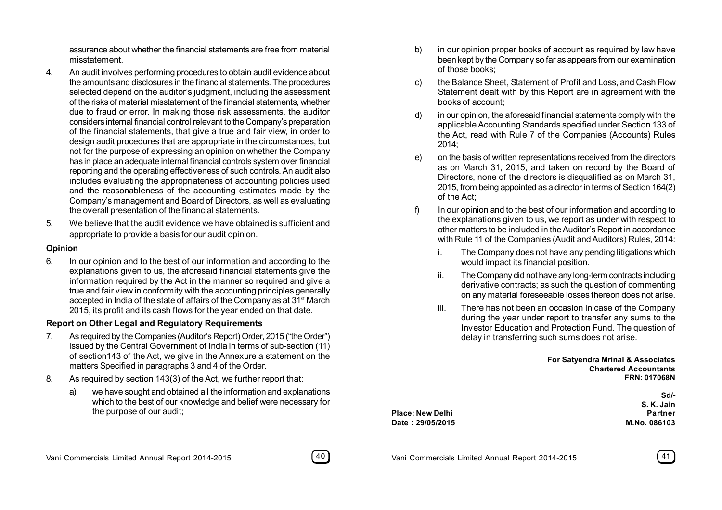assurance about whether the financial statements are free from material misstatement.

- 4. An audit involves performing procedures to obtain audit evidence about the amounts and disclosures in the financial statements. The procedures selected depend on the auditor's judgment, including the assessment of the risks of material misstatement of the financial statements, whether due to fraud or error. In making those risk assessments, the auditor considers internal financial control relevant to the Company's preparation of the financial statements, that give a true and fair view, in order to design audit procedures that are appropriate in the circumstances, but not for the purpose of expressing an opinion on whether the Company has in place an adequate internal financial controls system over financial reporting and the operating effectiveness of such controls. An audit also includes evaluating the appropriateness of accounting policies used and the reasonableness of the accounting estimates made by the Company's management and Board of Directors, as well as evaluating the overall presentation of the financial statements.
- 5. We believe that the audit evidence we have obtained is sufficient and appropriate to provide a basis for our audit opinion.

### **Opinion**

6. In our opinion and to the best of our information and according to the explanations given to us, the aforesaid financial statements give the information required by the Act in the manner so required and give a true and fair view in conformity with the accounting principles generally accepted in India of the state of affairs of the Company as at 31<sup>st</sup> March 2015, its profit and its cash flows for the year ended on that date.

# **Report on Other Legal and Regulatory Requirements**

- 7. As required by the Companies (Auditor's Report) Order, 2015 ("the Order") issued by the Central Government of India in terms of sub-section (11) of section143 of the Act, we give in the Annexure a statement on the matters Specified in paragraphs 3 and 4 of the Order.
- 8. As required by section 143(3) of the Act, we further report that:
	- a) we have sought and obtained all the information and explanations which to the best of our knowledge and belief were necessary for the purpose of our audit;
- b) in our opinion proper books of account as required by law have been kept by the Company so far as appears from our examination of those books;
- c) the Balance Sheet, Statement of Profit and Loss, and Cash Flow Statement dealt with by this Report are in agreement with the books of account;
- d) in our opinion, the aforesaid financial statements comply with the applicable Accounting Standards specified under Section 133 of the Act, read with Rule 7 of the Companies (Accounts) Rules 2014;
- e) on the basis of written representations received from the directors as on March 31, 2015, and taken on record by the Board of Directors, none of the directors is disqualified as on March 31, 2015, from being appointed as a director in terms of Section 164(2) of the Act;
- f) In our opinion and to the best of our information and according to the explanations given to us, we report as under with respect to other matters to be included in the Auditor's Report in accordance with Rule 11 of the Companies (Audit and Auditors) Rules, 2014:
	- i. The Company does not have any pending litigations which would impact its financial position.
	- ii. The Company did not have any long-term contracts including derivative contracts; as such the question of commenting on any material foreseeable losses thereon does not arise.
	- iii. There has not been an occasion in case of the Company during the year under report to transfer any sums to the Investor Education and Protection Fund. The question of delay in transferring such sums does not arise.

**For Satyendra Mrinal & Associates Chartered Accountants FRN: 017068N**

> **Sd/- S. K. Jain**

**Place: New Delhi Partner Date : 29/05/2015 M.No. 086103**



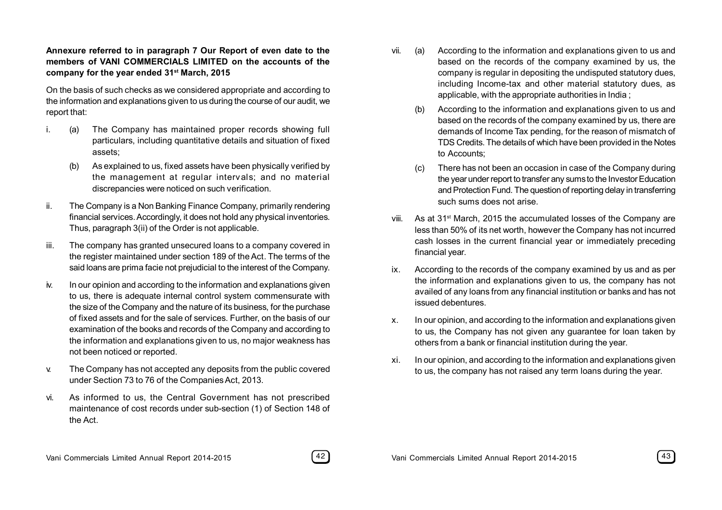# **Annexure referred to in paragraph 7 Our Report of even date to the members of VANI COMMERCIALS LIMITED on the accounts of the company for the year ended 31st March, 2015**

On the basis of such checks as we considered appropriate and according to the information and explanations given to us during the course of our audit, we report that:

- (a) The Company has maintained proper records showing full particulars, including quantitative details and situation of fixed assets;
	- As explained to us, fixed assets have been physically verified by the management at regular intervals; and no material discrepancies were noticed on such verification.
- ii. The Company is a Non Banking Finance Company, primarily rendering financial services. Accordingly, it does not hold any physical inventories. Thus, paragraph 3(ii) of the Order is not applicable.
- iii. The company has granted unsecured loans to a company covered in the register maintained under section 189 of the Act. The terms of the said loans are prima facie not prejudicial to the interest of the Company.
- iv. In our opinion and according to the information and explanations given to us, there is adequate internal control system commensurate with the size of the Company and the nature of its business, for the purchase of fixed assets and for the sale of services. Further, on the basis of our examination of the books and records of the Company and according to the information and explanations given to us, no major weakness has not been noticed or reported.
- v. The Company has not accepted any deposits from the public covered under Section 73 to 76 of the Companies Act, 2013.
- vi. As informed to us, the Central Government has not prescribed maintenance of cost records under sub-section (1) of Section 148 of the Act.
- vii. (a) According to the information and explanations given to us and based on the records of the company examined by us, the company is regular in depositing the undisputed statutory dues, including Income-tax and other material statutory dues, as applicable, with the appropriate authorities in India ;
	- (b) According to the information and explanations given to us and based on the records of the company examined by us, there are demands of Income Tax pending, for the reason of mismatch of TDS Credits. The details of which have been provided in the Notes to Accounts;
	- (c) There has not been an occasion in case of the Company during the year under report to transfer any sums to the Investor Education and Protection Fund. The question of reporting delay in transferring such sums does not arise.
- viii. As at 31st March, 2015 the accumulated losses of the Company are less than 50% of its net worth, however the Company has not incurred cash losses in the current financial year or immediately preceding financial year.
- ix. According to the records of the company examined by us and as per the information and explanations given to us, the company has not availed of any loans from any financial institution or banks and has not issued debentures.
- x. In our opinion, and according to the information and explanations given to us, the Company has not given any guarantee for loan taken by others from a bank or financial institution during the year.
- xi. In our opinion, and according to the information and explanations given to us, the company has not raised any term loans during the year.

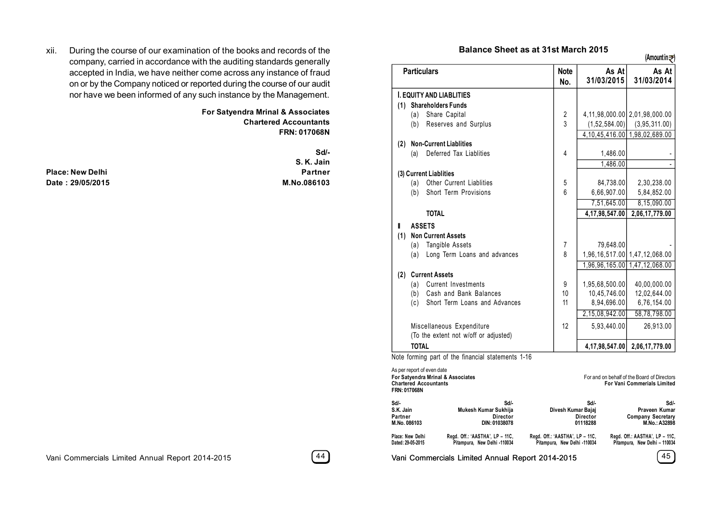xii. During the course of our examination of the books and records of the company, carried in accordance with the auditing standards generally accepted in India, we have neither come across any instance of fraud on or by the Company noticed or reported during the course of our audit nor have we been informed of any such instance by the Management.

> **For Satyendra Mrinal & Associates Chartered Accountants FRN: 017068N**

**Place: New Delhi Partner Date : 29/05/2015 M.No.086103**

**Sd/- S. K. Jain**

# **Balance Sheet as at 31st March 2015**

(Amountin≠)

|                                                                                                           |              |                                                                                                 |                                                                 |                                                                    | (Amountin군)                                                                       |
|-----------------------------------------------------------------------------------------------------------|--------------|-------------------------------------------------------------------------------------------------|-----------------------------------------------------------------|--------------------------------------------------------------------|-----------------------------------------------------------------------------------|
|                                                                                                           |              | <b>Particulars</b>                                                                              | <b>Note</b><br>No.                                              | As At<br>31/03/2015                                                | As At<br>31/03/2014                                                               |
|                                                                                                           |              | I. EQUITY AND LIABLITIES                                                                        |                                                                 |                                                                    |                                                                                   |
|                                                                                                           |              | (1) Shareholders Funds                                                                          |                                                                 |                                                                    |                                                                                   |
|                                                                                                           |              | (a) Share Capital                                                                               | $\boldsymbol{2}$                                                |                                                                    | 4,11,98,000.00 2,01,98,000.00                                                     |
|                                                                                                           | (b)          | Reserves and Surplus                                                                            | 3                                                               | (1,52,584.00)                                                      | (3,95,311.00)                                                                     |
|                                                                                                           |              |                                                                                                 |                                                                 |                                                                    | 4, 10, 45, 416.00 1, 98, 02, 689.00                                               |
| (2)                                                                                                       |              | <b>Non-Current Liablities</b>                                                                   |                                                                 |                                                                    |                                                                                   |
|                                                                                                           | (a)          | Deferred Tax Liablities                                                                         | 4                                                               | 1,486.00                                                           |                                                                                   |
|                                                                                                           |              |                                                                                                 |                                                                 | 1,486.00                                                           |                                                                                   |
|                                                                                                           |              | (3) Current Liablities                                                                          |                                                                 |                                                                    |                                                                                   |
|                                                                                                           | (a)          | <b>Other Current Liablities</b>                                                                 | 5                                                               | 84,738.00                                                          | 2,30,238.00                                                                       |
|                                                                                                           | (b)          | Short Term Provisions                                                                           | 6                                                               | 6,66,907.00                                                        | 5,84,852.00                                                                       |
|                                                                                                           |              |                                                                                                 |                                                                 | 7,51,645.00                                                        | 8,15,090.00                                                                       |
|                                                                                                           |              | <b>TOTAL</b>                                                                                    |                                                                 | 4,17,98,547.00                                                     | 2,06,17,779.00                                                                    |
| Ш                                                                                                         |              | <b>ASSETS</b>                                                                                   |                                                                 |                                                                    |                                                                                   |
| (1)                                                                                                       |              | <b>Non Current Assets</b>                                                                       |                                                                 |                                                                    |                                                                                   |
|                                                                                                           | (a)          | Tangible Assets                                                                                 | $\overline{7}$                                                  | 79,648.00                                                          |                                                                                   |
|                                                                                                           | (a)          | Long Term Loans and advances                                                                    | 8                                                               |                                                                    | 1,96,16,517.00 1,47,12,068.00                                                     |
|                                                                                                           |              |                                                                                                 |                                                                 |                                                                    | 1,96,96,165.00 1,47,12,068.00                                                     |
| (2)                                                                                                       |              | <b>Current Assets</b>                                                                           |                                                                 |                                                                    |                                                                                   |
|                                                                                                           | (a)          | <b>Current Investments</b>                                                                      | 9                                                               | 1,95,68,500.00                                                     | 40,00,000.00                                                                      |
|                                                                                                           |              | (b) Cash and Bank Balances                                                                      | 10                                                              | 10,45,746.00                                                       | 12,02,644.00                                                                      |
|                                                                                                           |              | (c) Short Term Loans and Advances                                                               | 11                                                              | 8,94,696.00                                                        | 6,76,154.00                                                                       |
|                                                                                                           |              |                                                                                                 |                                                                 | 2,15,08,942.00                                                     | 58,78,798.00                                                                      |
|                                                                                                           |              | Miscellaneous Expenditure                                                                       | 12                                                              | 5,93,440.00                                                        | 26,913.00                                                                         |
|                                                                                                           |              | (To the extent not w/off or adjusted)                                                           |                                                                 |                                                                    |                                                                                   |
|                                                                                                           | <b>TOTAL</b> |                                                                                                 |                                                                 | 4,17,98,547.00                                                     | 2,06,17,779.00                                                                    |
|                                                                                                           |              | Note forming part of the financial statements 1-16                                              |                                                                 |                                                                    |                                                                                   |
| FRN: 017068N                                                                                              |              | As per report of even date<br>For Satyendra Mrinal & Associates<br><b>Chartered Accountants</b> |                                                                 |                                                                    | For and on behalf of the Board of Directors<br><b>For Vani Commerials Limited</b> |
| Sd/-<br>Sd/-<br>S.K. Jain<br>Mukesh Kumar Sukhija<br>Partner<br>Director<br>DIN: 01038078<br>M.No. 086103 |              |                                                                                                 | Sd/-<br>Divesh Kumar Bajaj<br>Director<br>01118288              | Sd/-<br>Praveen Kumar<br><b>Company Secretary</b><br>M.No.: A32898 |                                                                                   |
| Place: New Delhi<br>Regd. Off.: 'AASTHA', LP - 11C,<br>Dated: 29-05-2015<br>Pitampura, New Delhi -110034  |              |                                                                                                 | Regd. Off.: 'AASTHA', LP - 11C,<br>Pitampura, New Delhi -110034 |                                                                    | Regd. Off.: AASTHA', LP - 11C,<br>Pitampura, New Delhi - 110034                   |
|                                                                                                           |              | Vani Commercials Limited Annual Report 2014-2015                                                |                                                                 |                                                                    | 45                                                                                |

| For and on behalf of the Board of Directors<br><b>For Vani Commerials Limited</b> |                                 |                                 | As per report of even date<br>For Satyendra Mrinal & Associates<br><b>Chartered Accountants</b><br>FRN: 017068N |
|-----------------------------------------------------------------------------------|---------------------------------|---------------------------------|-----------------------------------------------------------------------------------------------------------------|
| Sd/-                                                                              | Sd/-                            | Sd/-                            | Sd/-                                                                                                            |
| Praveen Kumar                                                                     | Divesh Kumar Bajaj              | Mukesh Kumar Sukhija            | S.K. Jain                                                                                                       |
| Company Secretary                                                                 | Director                        | Director                        | Partner                                                                                                         |
| M.No.: A32898                                                                     | 01118288                        | DIN: 01038078                   | M.No. 086103                                                                                                    |
| Regd. Off.: AASTHA', LP - 11C,                                                    | Regd. Off.: 'AASTHA', LP - 11C, | Regd. Off.: 'AASTHA', LP - 11C, | Place: New Delhi                                                                                                |
| Pitampura, New Delhi - 110034                                                     | Pitampura. New Delhi -110034    | Pitampura, New Delhi -110034    | Dated: 29-05-2015                                                                                               |

Vani Commercials Limited Annual Report 2014-2015 **49**

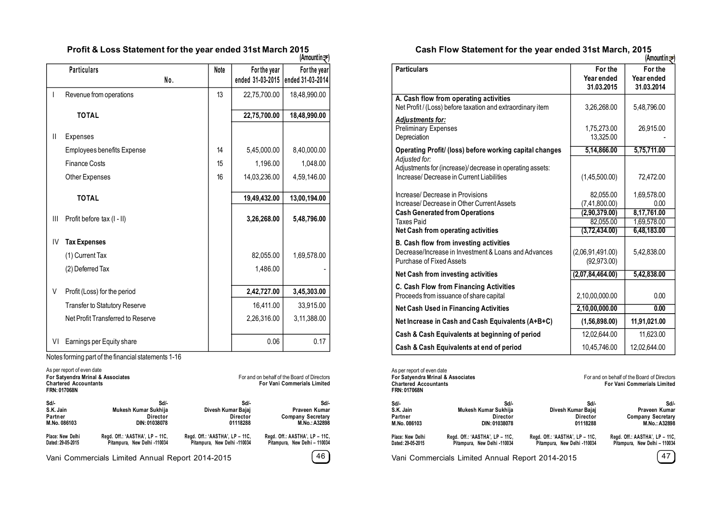### **(Amount in ) Profit & Loss Statement for the year ended 31st March 2015 Cash Flow Statement for the year ended 31st March, 2015**

|              | <b>Particulars</b>                   | Note | For the year     | For the year     |
|--------------|--------------------------------------|------|------------------|------------------|
|              | No.                                  |      | ended 31-03-2015 | ended 31-03-2014 |
| L            | Revenue from operations              | 13   | 22,75,700.00     | 18,48,990.00     |
|              | <b>TOTAL</b>                         |      | 22,75,700.00     | 18,48,990.00     |
| $\mathbf{I}$ | Expenses                             |      |                  |                  |
|              | <b>Employees benefits Expense</b>    | 14   | 5,45,000.00      | 8,40,000.00      |
|              | <b>Finance Costs</b>                 | 15   | 1,196.00         | 1,048.00         |
|              | Other Expenses                       | 16   | 14,03,236.00     | 4,59,146.00      |
|              | <b>TOTAL</b>                         |      | 19,49,432.00     | 13,00,194.00     |
| III          | Profit before tax (I - II)           |      | 3,26,268.00      | 5,48,796.00      |
| IV           | <b>Tax Expenses</b>                  |      |                  |                  |
|              | (1) Current Tax                      |      | 82,055.00        | 1,69,578.00      |
|              | (2) Deferred Tax                     |      | 1,486.00         |                  |
| V            | Profit (Loss) for the period         |      | 2,42,727.00      | 3,45,303.00      |
|              | <b>Transfer to Statutory Reserve</b> |      | 16,411.00        | 33,915.00        |
|              | Net Profit Transferred to Reserve    |      | 2,26,316.00      | 3,11,388.00      |
| VI           | Earnings per Equity share            |      | 0.06             | 0.17             |

Notes forming part of the financial statements 1-16

| As per report of even date<br>For Satyendra Mrinal & Associates<br><b>Chartered Accountants</b><br>FRN: 017068N |                                                  |                                 | For and on behalf of the Board of Directors<br><b>For Vani Commerials Limited</b> |
|-----------------------------------------------------------------------------------------------------------------|--------------------------------------------------|---------------------------------|-----------------------------------------------------------------------------------|
| Sd/-                                                                                                            | Sd/-                                             | Sd/-                            | Sd/-                                                                              |
| S.K. Jain                                                                                                       | Mukesh Kumar Sukhija                             | Divesh Kumar Bajaj              | Praveen Kumar                                                                     |
| Partner                                                                                                         | Director                                         | Director                        | <b>Company Secretary</b>                                                          |
| M.No. 086103                                                                                                    | DIN: 01038078                                    | 01118288                        | M.No.: A32898                                                                     |
| Place: New Delhi                                                                                                | Regd. Off.: 'AASTHA', LP - 11C,                  | Regd. Off.: 'AASTHA', LP - 11C, | Regd. Off.: AASTHA', LP - 11C,                                                    |
| Dated: 29-05-2015                                                                                               | Pitampura, New Delhi -110034                     | Pitampura, New Delhi -110034    | Pitampura, New Delhi - 110034                                                     |
|                                                                                                                 | Vani Commercials Limited Annual Report 2014-2015 |                                 | 46                                                                                |

|                                                                                                                            |                                     | (Amountin₹)                         |
|----------------------------------------------------------------------------------------------------------------------------|-------------------------------------|-------------------------------------|
| <b>Particulars</b>                                                                                                         | For the<br>Year ended<br>31.03.2015 | For the<br>Year ended<br>31.03.2014 |
| A. Cash flow from operating activities<br>Net Profit / (Loss) before taxation and extraordinary item                       | 3,26,268.00                         | 5,48,796.00                         |
| <b>Adjustments for:</b><br><b>Preliminary Expenses</b><br>Depreciation                                                     | 1,75,273.00<br>13.325.00            | 26,915.00                           |
| Operating Profit/ (loss) before working capital changes                                                                    | 5,14,866.00                         | 5,75,711.00                         |
| Adjusted for:<br>Adjustments for (increase)/decrease in operating assets:<br>Increase/ Decrease in Current Liabilities     | (1,45,500.00)                       | 72,472.00                           |
| Increase/ Decrease in Provisions                                                                                           | 82.055.00                           | 1,69,578.00                         |
| Increase/Decrease in Other Current Assets                                                                                  | (7, 41, 800.00)                     | 0.00                                |
| <b>Cash Generated from Operations</b>                                                                                      | (2,90,379.00)                       | 8,17,761.00                         |
| <b>Taxes Paid</b><br><b>Net Cash from operating activities</b>                                                             | 82,055.00<br>(3,72,434.00)          | 1,69,578.00<br>6,48,183.00          |
| B. Cash flow from investing activities<br>Decrease/Increase in Investment & Loans and Advances<br>Purchase of Fixed Assets | (2,06,91,491.00)<br>(92, 973.00)    | 5,42,838.00                         |
| <b>Net Cash from investing activities</b>                                                                                  | (2,07,84,464.00)                    | 5,42,838.00                         |
| C. Cash Flow from Financing Activities<br>Proceeds from issuance of share capital                                          | 2,10,00,000.00                      | 0.00                                |
| <b>Net Cash Used in Financing Activities</b>                                                                               | 2,10,00,000.00                      | 0.00                                |
| Net Increase in Cash and Cash Equivalents (A+B+C)                                                                          | (1,56,898.00)                       | 11,91,021.00                        |
| Cash & Cash Equivalents at beginning of period                                                                             | 12,02,644.00                        | 11,623.00                           |
| Cash & Cash Equivalents at end of period                                                                                   | 10,45,746.00                        | 12,02,644.00                        |

As per report of even date<br>For Satyendra Mrinal & Associates **For Satyendra Mrinal & Associates For Satyendra Mrinal & Associates For and on behalf of the Board of Directors**<br>Chartered Accountants **For United For Vani Commerials Limited For Vani Commerials Limited FRN: 017068N Sd/- Sd/- Sd/- Sd/- S.K. Jain Mukesh Kumar Sukhija Divesh Kumar Bajaj Praveen Kumar Partner Director Director Company Secretary M.No. 086103 DIN: 01038078 01118288 M.No.: A32898 Place: New Delhi Regd. Off.: 'AASTHA', LP – 11C, Regd. Off.: 'AASTHA', LP – 11C, Regd. Off.: AASTHA', LP – 11C, Dated: 29-05-2015 Pitampura, New Delhi -110034 Pitampura, New Delhi -110034 Pitampura, New Delhi – 110034** Vani Commercials Limited Annual Report 2014-2015 **47**

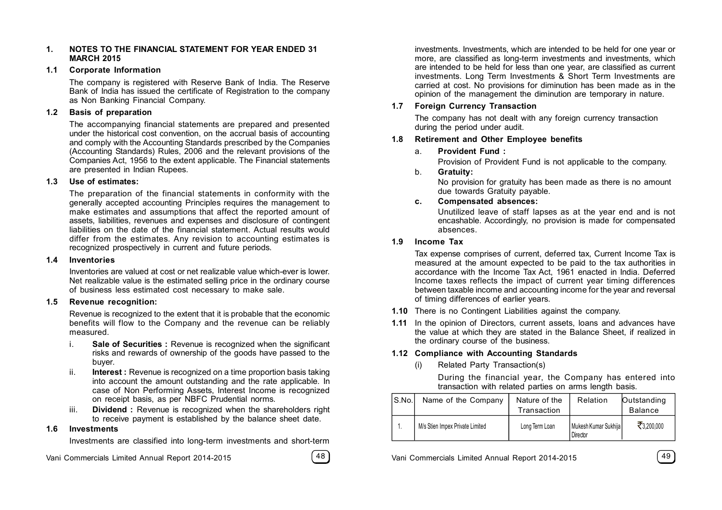#### **1. NOTES TO THE FINANCIAL STATEMENT FOR YEAR ENDED 31 MARCH 2015**

#### **1.1 Corporate Information**

The company is registered with Reserve Bank of India. The Reserve Bank of India has issued the certificate of Registration to the company as Non Banking Financial Company.

### **1.2 Basis of preparation**

The accompanying financial statements are prepared and presented under the historical cost convention, on the accrual basis of accounting and comply with the Accounting Standards prescribed by the Companies (Accounting Standards) Rules, 2006 and the relevant provisions of the Companies Act, 1956 to the extent applicable. The Financial statements are presented in Indian Rupees.

### **1.3 Use of estimates:**

The preparation of the financial statements in conformity with the generally accepted accounting Principles requires the management to make estimates and assumptions that affect the reported amount of assets, liabilities, revenues and expenses and disclosure of contingent liabilities on the date of the financial statement. Actual results would differ from the estimates. Any revision to accounting estimates is recognized prospectively in current and future periods.

### **1.4 Inventories**

Inventories are valued at cost or net realizable value which-ever is lower. Net realizable value is the estimated selling price in the ordinary course of business less estimated cost necessary to make sale.

### **1.5 Revenue recognition:**

Revenue is recognized to the extent that it is probable that the economic benefits will flow to the Company and the revenue can be reliably measured.

- i. **Sale of Securities :** Revenue is recognized when the significant risks and rewards of ownership of the goods have passed to the buyer.
- ii. **Interest :** Revenue is recognized on a time proportion basis taking into account the amount outstanding and the rate applicable. In case of Non Performing Assets, Interest Income is recognized on receipt basis, as per NBFC Prudential norms.
- iii. **Dividend:** Revenue is recognized when the shareholders right to receive payment is established by the balance sheet date.

### **1.6 Investments**

Investments are classified into long-term investments and short-term

investments. Investments, which are intended to be held for one year or more, are classified as long-term investments and investments, which are intended to be held for less than one year, are classified as current investments. Long Term Investments & Short Term Investments are carried at cost. No provisions for diminution has been made as in the opinion of the management the diminution are temporary in nature.

# **1.7 Foreign Currency Transaction**

The company has not dealt with any foreign currency transaction during the period under audit.

### **1.8 Retirement and Other Employee benefits**

### a. **Provident Fund :**

Provision of Provident Fund is not applicable to the company.

### b. **Gratuity:**

No provision for gratuity has been made as there is no amount due towards Gratuity payable.

### **c. Compensated absences:**

Unutilized leave of staff lapses as at the year end and is not encashable. Accordingly, no provision is made for compensated absences.

### **1.9 Income Tax**

Tax expense comprises of current, deferred tax, Current Income Tax is measured at the amount expected to be paid to the tax authorities in accordance with the Income Tax Act, 1961 enacted in India. Deferred Income taxes reflects the impact of current year timing differences between taxable income and accounting income for the year and reversal of timing differences of earlier years.

- **1.10** There is no Contingent Liabilities against the company.
- **1.11** In the opinion of Directors, current assets, loans and advances have the value at which they are stated in the Balance Sheet, if realized in the ordinary course of the business.

### **1.12 Compliance with Accounting Standards**

Related Party Transaction(s)

During the financial year, the Company has entered into transaction with related parties on arms length basis.

| SS.No.l | Name of the Company             | Nature of the<br>Transaction | Relation                             | Outstanding<br><b>Balance</b> |
|---------|---------------------------------|------------------------------|--------------------------------------|-------------------------------|
|         | M/s Stien Impex Private Limited | Long Term Loan               | I Mukesh Kumar Sukhija I<br>Director | $\bar{z}$ 3,200,000           |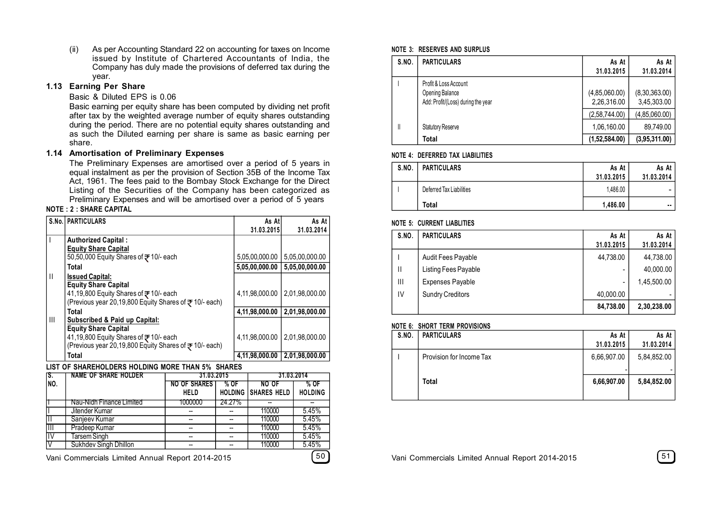(ii) As per Accounting Standard 22 on accounting for taxes on Income issued by Institute of Chartered Accountants of India, the Company has duly made the provisions of deferred tax during the year.

### **1.13 Earning Per Share**

#### Basic & Diluted EPS is 0.06

Basic earning per equity share has been computed by dividing net profit after tax by the weighted average number of equity shares outstanding during the period. There are no potential equity shares outstanding and as such the Diluted earning per share is same as basic earning per share.

#### **1.14 Amortisation of Preliminary Expenses**

The Preliminary Expenses are amortised over a period of 5 years in equal instalment as per the provision of Section 35B of the Income Tax Act, 1961. The fees paid to the Bombay Stock Exchange for the Direct Listing of the Securities of the Company has been categorized as Preliminary Expenses and will be amortised over a period of 5 years

### **NOTE : 2 : SHARE CAPITAL**

|                | <b>S.No.   PARTICULARS</b>                                  | As Atl<br>31.03.2015 | As At<br>31.03.2014 |
|----------------|-------------------------------------------------------------|----------------------|---------------------|
|                | <b>Authorized Capital:</b>                                  |                      |                     |
|                | <b>Equity Share Capital</b>                                 |                      |                     |
|                | 50,50,000 Equity Shares of ₹10/- each                       | 5,05,00,000.00       | 5,05,00,000.00      |
|                | Total                                                       | 5,05,00,000.00       | 5,05,00,000.00      |
| $\mathbf{  }$  | <b>Issued Capital:</b>                                      |                      |                     |
|                | <b>Equity Share Capital</b>                                 |                      |                     |
|                | 41,19,800 Equity Shares of ₹10/- each                       | 4,11,98,000.00       | 2,01,98,000.00      |
|                | (Previous year 20,19,800 Equity Shares of $\geq 10/4$ each) |                      |                     |
|                | Total                                                       | 4,11,98,000.00       | 2,01,98,000.00      |
| $\mathbf{III}$ | Subscribed & Paid up Capital:                               |                      |                     |
|                | <b>Equity Share Capital</b>                                 |                      |                     |
|                | 41,19,800 Equity Shares of ₹10/- each                       | 4,11,98,000.00       | 2,01,98,000.00      |
|                | (Previous year 20,19,800 Equity Shares of ₹10/- each)       |                      |                     |
|                | Total                                                       | 4,11,98,000.00       | 2,01,98,000.00      |

### **LIST OF SHAREHOLDERS HOLDING MORE THAN 5% SHARES**

| IS.  | <b>NAME OF SHARE HOLDER</b> | 31.03.2015            |        | 31.03.2014                            |                        |
|------|-----------------------------|-----------------------|--------|---------------------------------------|------------------------|
| INO. |                             | NO OF SHAREST<br>HELD | % OF   | no of<br><b>HOLDING I SHARES HELD</b> | % OF<br><b>HOLDING</b> |
|      | Nau-Nidh Finance Limited    | 1000000               | 24.27% |                                       |                        |
|      | Jitender Kumar              |                       |        | 110000                                | 5.45%                  |
|      | Sanieev Kumar               |                       |        | 110000                                | 5.45%                  |
| Ш    | Pradeep Kumar               |                       |        | 110000                                | 5.45%                  |
|      | <b>Tarsem Singh</b>         |                       |        | 110000                                | 5.45%                  |
|      | Sukhdev Singh Dhillon       |                       |        | 110000                                | 5.45%                  |
|      | $\cdots$ $\cdots$<br>.      |                       |        |                                       |                        |

Vani Commercials Limited Annual Report 2014-2015 **50**

#### **NOTE 3: RESERVES AND SURPLUS**

| S.NO. | <b>PARTICULARS</b>                                                             | As At<br>31.03.2015          | As At<br>31.03.2014          |
|-------|--------------------------------------------------------------------------------|------------------------------|------------------------------|
|       | Profit & Loss Account<br>Opening Balance<br>Add: Profit/(Loss) during the year | (4,85,060.00)<br>2,26,316.00 | (8,30,363.00)<br>3,45,303.00 |
|       |                                                                                | (2,58,744.00)                | (4,85,060.00)                |
| II    | <b>Statutory Reserve</b>                                                       | 1,06,160.00                  | 89.749.00                    |
|       | Total                                                                          | (1,52,584.00)                | (3,95,311.00)                |

### **NOTE 4: DEFERRED TAX LIABILITIES**

| S.NO. | <b>PARTICULARS</b>       | As At      | As At            |
|-------|--------------------------|------------|------------------|
|       |                          | 31.03.2015 | 31.03.2014       |
|       | Deferred Tax Liabilities | 1.486.00   | -                |
|       | Total                    | 1,486.00   | $\bullet\bullet$ |

#### **NOTE 5: CURRENT LIABLITIES**

| S.NO. | <b>PARTICULARS</b>      | As At      | As At       |
|-------|-------------------------|------------|-------------|
|       |                         | 31.03.2015 | 31.03.2014  |
|       | Audit Fees Payable      | 44,738.00  | 44,738.00   |
| Ш     | Listing Fees Payable    |            | 40,000.00   |
| Ш     | <b>Expenses Payable</b> |            | 1,45,500.00 |
| IV    | <b>Sundry Creditors</b> | 40,000.00  |             |
|       |                         | 84,738.00  | 2,30,238.00 |

### **NOTE 6: SHORT TERM PROVISIONS**

| S.NO. | <b>PARTICULARS</b>       | As At       | As At       |
|-------|--------------------------|-------------|-------------|
|       |                          | 31.03.2015  | 31.03.2014  |
|       | Provision for Income Tax | 6,66,907.00 | 5,84,852.00 |
|       |                          |             |             |
|       | Total                    | 6,66,907.00 | 5,84,852.00 |
|       |                          |             |             |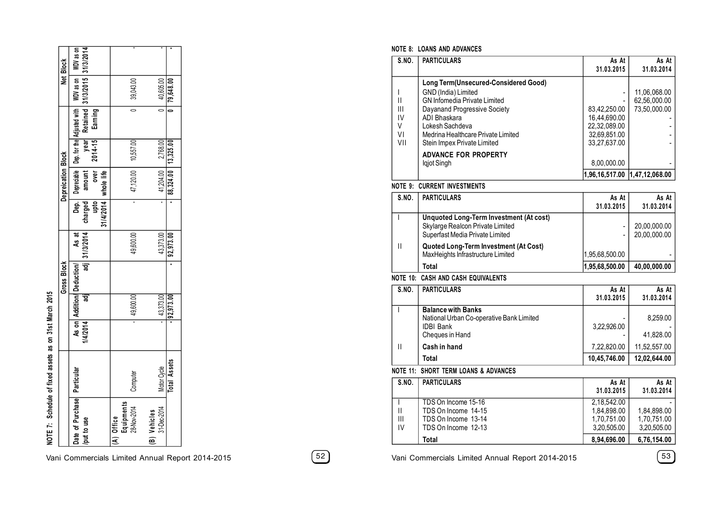| Retained 31/3/2015 31/3/2014<br>WDV as on  <br>39,043.00<br>40,605.00<br>79,648.00<br>$\circ$<br>$\Rightarrow$<br>8<br>Dep. for the Adjusted with<br>Earning<br>year<br>2014-15<br>10,557.00<br>2,768.00<br>13,325.00<br>Depreciable<br>47,120.00<br>amount<br>over<br>41,204.00<br>88,324.00<br>whole life<br>31/4/2014<br>Dep.  <br>charged<br>l ota<br>$\blacksquare$<br>adj 31/3/2014<br>As at<br>43,373.00<br>49,600.00<br>92,973.00<br>As on   Addition/ Deduction/<br>हु<br>49,600.00<br>43,373.00<br>92,973.00<br>1/4/2014<br>Total Assets<br>Motor Cycle<br>Particular<br>Computer<br>Date of Purchase<br>Equipments<br>28-Nov-2014<br>31-Dec-2014<br>(B) Vehicles<br>(A) Office<br>put to use<br>$\overline{52}$<br>Vani Commercials Limited Annual Report 2014-2015 |  |  | Gross Block |  | Depreication Block |  | Net Block |
|--------------------------------------------------------------------------------------------------------------------------------------------------------------------------------------------------------------------------------------------------------------------------------------------------------------------------------------------------------------------------------------------------------------------------------------------------------------------------------------------------------------------------------------------------------------------------------------------------------------------------------------------------------------------------------------------------------------------------------------------------------------------------------|--|--|-------------|--|--------------------|--|-----------|
|                                                                                                                                                                                                                                                                                                                                                                                                                                                                                                                                                                                                                                                                                                                                                                                |  |  |             |  |                    |  | WDV as on |
|                                                                                                                                                                                                                                                                                                                                                                                                                                                                                                                                                                                                                                                                                                                                                                                |  |  |             |  |                    |  |           |
|                                                                                                                                                                                                                                                                                                                                                                                                                                                                                                                                                                                                                                                                                                                                                                                |  |  |             |  |                    |  |           |
|                                                                                                                                                                                                                                                                                                                                                                                                                                                                                                                                                                                                                                                                                                                                                                                |  |  |             |  |                    |  |           |
|                                                                                                                                                                                                                                                                                                                                                                                                                                                                                                                                                                                                                                                                                                                                                                                |  |  |             |  |                    |  |           |
|                                                                                                                                                                                                                                                                                                                                                                                                                                                                                                                                                                                                                                                                                                                                                                                |  |  |             |  |                    |  |           |

# **NOTE 8: LOANS AND ADVANCES**

| S.NO. | <b>PARTICULARS</b>                          | As At        | As At        |
|-------|---------------------------------------------|--------------|--------------|
|       |                                             | 31.03.2015   | 31.03.2014   |
|       | <b>Long Term(Unsecured-Considered Good)</b> |              |              |
|       | GND (India) Limited                         |              | 11,06,068.00 |
| II    | <b>GN Infomedia Private Limited</b>         |              | 62,56,000.00 |
| Ш     | Dayanand Progressive Society                | 83,42,250.00 | 73,50,000.00 |
| IV    | ADI Bhaskara                                | 16,44,690.00 |              |
| ٧     | Lokesh Sachdeva                             | 22,32,089.00 |              |
| ٧I    | Medrina Healthcare Private Limited          | 32,69,851.00 |              |
| VII   | Stein Impex Private Limited                 | 33,27,637.00 |              |
|       | <b>ADVANCE FOR PROPERTY</b>                 |              |              |
|       | Igjot Singh                                 | 8,00,000.00  |              |
|       |                                             |              |              |

# **NOTE 9: CURRENT INVESTMENTS**

| S.NO. | <b>PARTICULARS</b>                                                                                                    | As At<br>31.03.2015 | As At<br>31.03.2014          |
|-------|-----------------------------------------------------------------------------------------------------------------------|---------------------|------------------------------|
|       | <b>Unquoted Long-Term Investment (At cost)</b><br>Skylarge Realcon Private Limited<br>Superfast Media Private Limited |                     | 20,00,000.00<br>20.00.000.00 |
| Н     | Quoted Long-Term Investment (At Cost)<br>MaxHeights Infrastructure Limited                                            | 1,95,68,500.00      |                              |
|       | Total                                                                                                                 | 1,95,68,500.00      | 40,00,000.00                 |

# **NOTE 10: CASH AND CASH EQUIVALENTS**

| S.NO. | <b>PARTICULARS</b>                                                                                           | As At<br>31.03.2015 | As At<br>31.03.2014   |
|-------|--------------------------------------------------------------------------------------------------------------|---------------------|-----------------------|
|       | <b>Balance with Banks</b><br>National Urban Co-operative Bank Limited<br><b>IDBI Bank</b><br>Cheques in Hand | 3,22,926.00         | 8,259.00<br>41,828.00 |
| Ш     | Cash in hand                                                                                                 | 7,22,820.00         | 11,52,557.00          |
|       | Total                                                                                                        | 10.45.746.00        | 12.02.644.00          |

# **NOTE 11: SHORT TERM LOANS & ADVANCES**

| S.NO.        | <b>PARTICULARS</b>                                                                       | As At<br>31.03.2015                                      | As At<br>31.03.2014                       |
|--------------|------------------------------------------------------------------------------------------|----------------------------------------------------------|-------------------------------------------|
| Ш<br>Ш<br>IV | TDS On Income 15-16<br>TDS On Income 14-15<br>TDS On Income 13-14<br>TDS On Income 12-13 | 2.18.542.00<br>1,84,898.00<br>1.70.751.00<br>3,20,505.00 | 1,84,898.00<br>1.70.751.00<br>3,20,505.00 |
|              | Total                                                                                    | 8,94,696.00                                              | 6,76,154.00                               |

Vani Commercials Limited Annual Report 2014-2015 **53**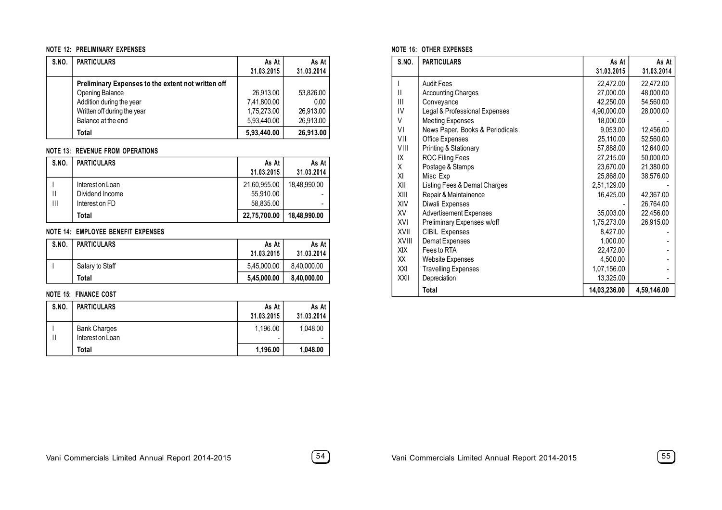### **NOTE 12: PRELIMINARY EXPENSES**

| S.NO. | <b>PARTICULARS</b>                                 | As At       | As At      |
|-------|----------------------------------------------------|-------------|------------|
|       |                                                    | 31.03.2015  | 31.03.2014 |
|       | Preliminary Expenses to the extent not written off |             |            |
|       | Opening Balance                                    | 26.913.00   | 53,826.00  |
|       | Addition during the year                           | 7,41,800.00 | 0.00       |
|       | Written off during the year                        | 1,75,273.00 | 26,913.00  |
|       | Balance at the end                                 | 5,93,440.00 | 26,913.00  |
|       | Total                                              | 5,93,440.00 | 26,913.00  |

# **NOTE 13: REVENUE FROM OPERATIONS**

| S.NO. | <b>PARTICULARS</b> | As At        | As At        |
|-------|--------------------|--------------|--------------|
|       |                    | 31.03.2015   | 31.03.2014   |
|       | Interest on Loan   | 21,60,955.00 | 18.48.990.00 |
| Ш     | Dividend Income    | 55,910.00    |              |
| Ш     | Interest on FD     | 58.835.00    |              |
|       | Total              | 22,75,700.00 | 18,48,990.00 |

### **NOTE 14: EMPLOYEE BENEFIT EXPENSES**

| S.NO. | <b>PARTICULARS</b> | As At       | As At       |
|-------|--------------------|-------------|-------------|
|       |                    | 31.03.2015  | 31.03.2014  |
|       | Salary to Staff    | 5.45.000.00 | 8.40.000.00 |
|       | Total              | 5,45,000.00 | 8,40,000.00 |

# **NOTE 15: FINANCE COST**

| S.NO. | <b>PARTICULARS</b>  | As At      | As At      |
|-------|---------------------|------------|------------|
|       |                     | 31.03.2015 | 31.03.2014 |
|       | <b>Bank Charges</b> | 1.196.00   | 1.048.00   |
| Ш     | Interest on Loan    |            |            |
|       | Total               | 1,196.00   | 1.048.00   |

### **NOTE 16: OTHER EXPENSES**

| S.NO.         | <b>PARTICULARS</b>              | As At<br>31.03.2015 | As At<br>31.03.2014 |
|---------------|---------------------------------|---------------------|---------------------|
| T             | <b>Audit Fees</b>               |                     |                     |
| $\mathbf{II}$ |                                 | 22,472.00           | 22,472.00           |
|               | <b>Accounting Charges</b>       | 27,000.00           | 48,000.00           |
| Ш             | Conveyance                      | 42,250.00           | 54,560.00           |
| IV            | Legal & Professional Expenses   | 4,90,000.00         | 28,000.00           |
| V             | Meeting Expenses                | 18,000.00           |                     |
| VI            | News Paper, Books & Periodicals | 9,053.00            | 12,456.00           |
| VII           | Office Expenses                 | 25,110.00           | 52,560.00           |
| VIII          | Printing & Stationary           | 57,888.00           | 12,640.00           |
| ΙX            | ROC Filing Fees                 | 27,215.00           | 50.000.00           |
| X             | Postage & Stamps                | 23,670.00           | 21,380.00           |
| ΧI            | Misc Exp                        | 25,868.00           | 38,576.00           |
| XII           | Listing Fees & Demat Charges    | 2,51,129.00         |                     |
| XIII          | Repair & Maintainence           | 16,425.00           | 42,367.00           |
| XIV           | Diwali Expenses                 |                     | 26,764.00           |
| XV            | <b>Advertisement Expenses</b>   | 35,003.00           | 22,456.00           |
| XVI           | Preliminary Expenses w/off      | 1,75,273.00         | 26,915.00           |
| XVII          | <b>CIBIL Expenses</b>           | 8,427.00            |                     |
| <b>XVIII</b>  | Demat Expenses                  | 1,000.00            |                     |
| XIX           | Fees to RTA                     | 22,472.00           |                     |
| XX            | Website Expenses                | 4,500.00            |                     |
| XXI           | <b>Travelling Expenses</b>      | 1,07,156.00         |                     |
| XXII          | Depreciation                    | 13,325.00           |                     |
|               | Total                           | 14,03,236.00        | 4,59,146.00         |